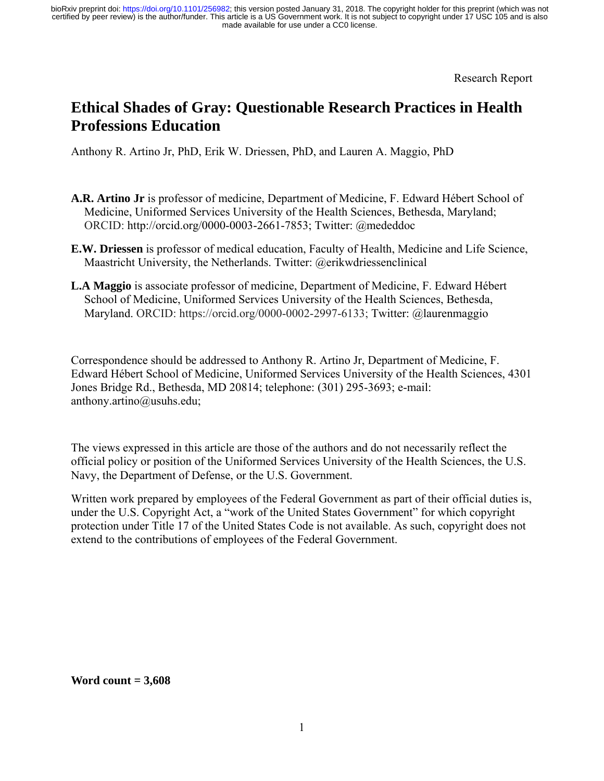Research Report

# **Ethical Shades of Gray: Questionable Research Practices in Health Professions Education**

Anthony R. Artino Jr, PhD, Erik W. Driessen, PhD, and Lauren A. Maggio, PhD

- **A.R. Artino Jr** is professor of medicine, Department of Medicine, F. Edward Hébert School of Medicine, Uniformed Services University of the Health Sciences, Bethesda, Maryland; ORCID: http://orcid.org/0000-0003-2661-7853; Twitter: @mededdoc
- **E.W. Driessen** is professor of medical education, Faculty of Health, Medicine and Life Science, Maastricht University, the Netherlands. Twitter: @erikwdriessenclinical
- **L.A Maggio** is associate professor of medicine, Department of Medicine, F. Edward Hébert School of Medicine, Uniformed Services University of the Health Sciences, Bethesda, Maryland. ORCID: https://orcid.org/0000-0002-2997-6133; Twitter: @laurenmaggio

Correspondence should be addressed to Anthony R. Artino Jr, Department of Medicine, F. Edward Hébert School of Medicine, Uniformed Services University of the Health Sciences, 4301 Jones Bridge Rd., Bethesda, MD 20814; telephone: (301) 295-3693; e-mail: anthony.artino@usuhs.edu;

The views expressed in this article are those of the authors and do not necessarily reflect the official policy or position of the Uniformed Services University of the Health Sciences, the U.S. Navy, the Department of Defense, or the U.S. Government.

Written work prepared by employees of the Federal Government as part of their official duties is, under the U.S. Copyright Act, a "work of the United States Government" for which copyright protection under Title 17 of the United States Code is not available. As such, copyright does not extend to the contributions of employees of the Federal Government.

**Word count = 3,608**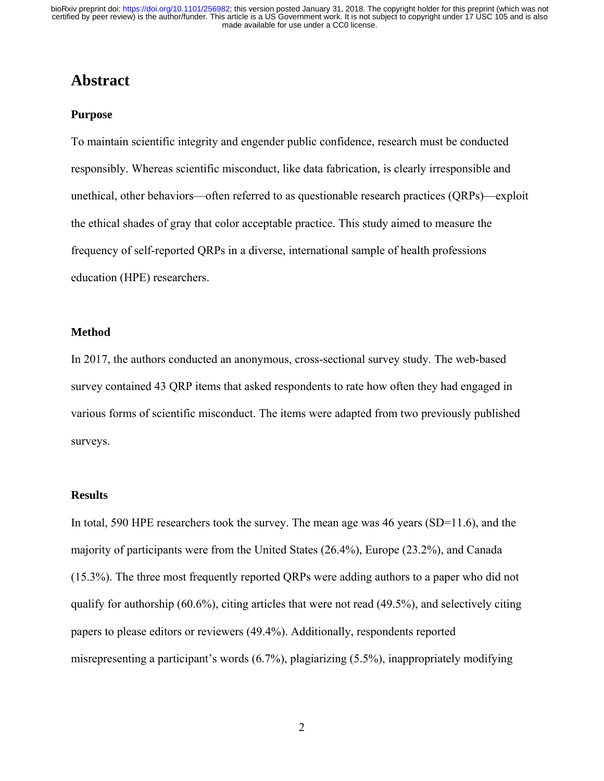### **Abstract**

#### **Purpose**

To maintain scientific integrity and engender public confidence, research must be conducted responsibly. Whereas scientific misconduct, like data fabrication, is clearly irresponsible and unethical, other behaviors—often referred to as questionable research practices (QRPs)—exploit the ethical shades of gray that color acceptable practice. This study aimed to measure the frequency of self-reported QRPs in a diverse, international sample of health professions education (HPE) researchers.

#### **Method**

In 2017, the authors conducted an anonymous, cross-sectional survey study. The web-based survey contained 43 QRP items that asked respondents to rate how often they had engaged in various forms of scientific misconduct. The items were adapted from two previously published surveys.

#### **Results**

In total, 590 HPE researchers took the survey. The mean age was 46 years (SD=11.6), and the majority of participants were from the United States (26.4%), Europe (23.2%), and Canada (15.3%). The three most frequently reported QRPs were adding authors to a paper who did not qualify for authorship (60.6%), citing articles that were not read (49.5%), and selectively citing papers to please editors or reviewers (49.4%). Additionally, respondents reported misrepresenting a participant's words (6.7%), plagiarizing (5.5%), inappropriately modifying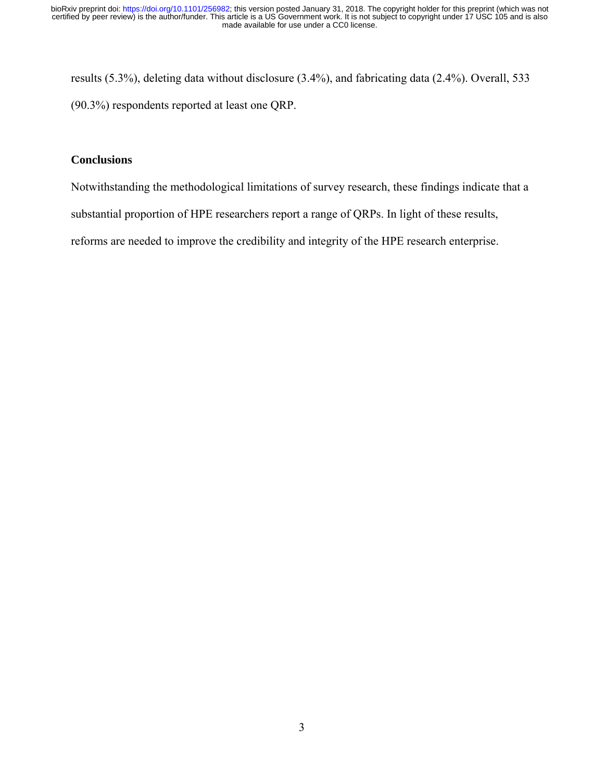results (5.3%), deleting data without disclosure (3.4%), and fabricating data (2.4%). Overall, 533 (90.3%) respondents reported at least one QRP.

#### **Conclusions**

Notwithstanding the methodological limitations of survey research, these findings indicate that a

substantial proportion of HPE researchers report a range of QRPs. In light of these results,

reforms are needed to improve the credibility and integrity of the HPE research enterprise.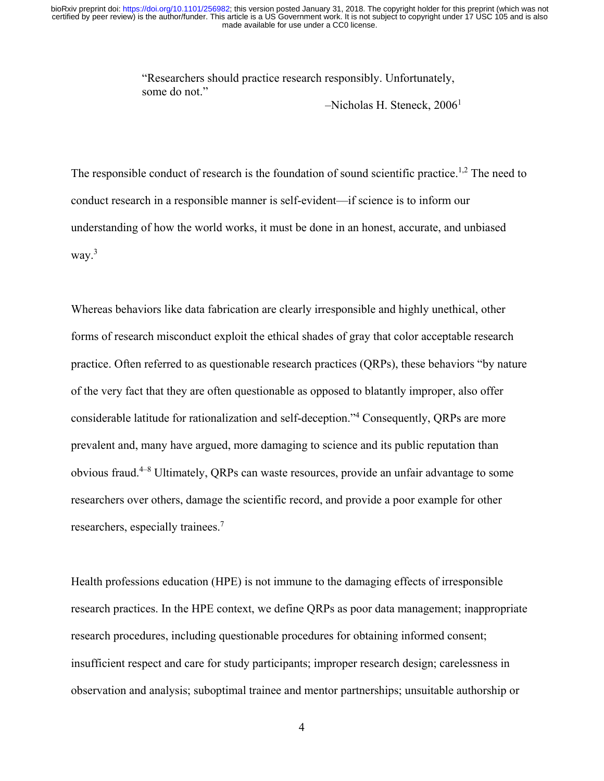"Researchers should practice research responsibly. Unfortunately, some do not."

 $-$ Nicholas H. Steneck, 2006<sup>1</sup>

The responsible conduct of research is the foundation of sound scientific practice.<sup>1,2</sup> The need to conduct research in a responsible manner is self-evident—if science is to inform our understanding of how the world works, it must be done in an honest, accurate, and unbiased way.<sup>3</sup>

Whereas behaviors like data fabrication are clearly irresponsible and highly unethical, other forms of research misconduct exploit the ethical shades of gray that color acceptable research practice. Often referred to as questionable research practices (QRPs), these behaviors "by nature of the very fact that they are often questionable as opposed to blatantly improper, also offer considerable latitude for rationalization and self-deception."4 Consequently, QRPs are more prevalent and, many have argued, more damaging to science and its public reputation than obvious fraud.4–8 Ultimately, QRPs can waste resources, provide an unfair advantage to some researchers over others, damage the scientific record, and provide a poor example for other researchers, especially trainees.7

Health professions education (HPE) is not immune to the damaging effects of irresponsible research practices. In the HPE context, we define QRPs as poor data management; inappropriate research procedures, including questionable procedures for obtaining informed consent; insufficient respect and care for study participants; improper research design; carelessness in observation and analysis; suboptimal trainee and mentor partnerships; unsuitable authorship or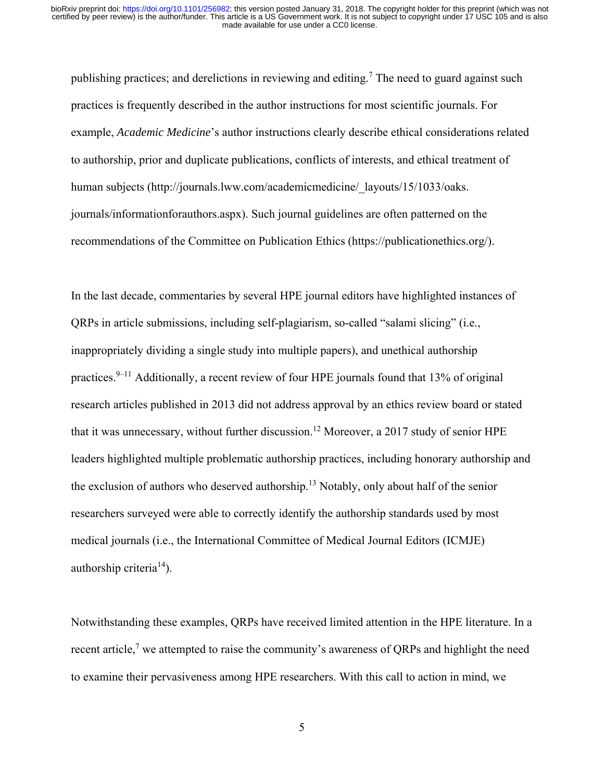publishing practices; and derelictions in reviewing and editing.<sup>7</sup> The need to guard against such practices is frequently described in the author instructions for most scientific journals. For example, *Academic Medicine*'s author instructions clearly describe ethical considerations related to authorship, prior and duplicate publications, conflicts of interests, and ethical treatment of human subjects (http://journals.lww.com/academicmedicine/\_layouts/15/1033/oaks. journals/informationforauthors.aspx). Such journal guidelines are often patterned on the recommendations of the Committee on Publication Ethics (https://publicationethics.org/).

In the last decade, commentaries by several HPE journal editors have highlighted instances of QRPs in article submissions, including self-plagiarism, so-called "salami slicing" (i.e., inappropriately dividing a single study into multiple papers), and unethical authorship practices.<sup>9–11</sup> Additionally, a recent review of four HPE journals found that 13% of original research articles published in 2013 did not address approval by an ethics review board or stated that it was unnecessary, without further discussion.<sup>12</sup> Moreover, a 2017 study of senior HPE leaders highlighted multiple problematic authorship practices, including honorary authorship and the exclusion of authors who deserved authorship.<sup>13</sup> Notably, only about half of the senior researchers surveyed were able to correctly identify the authorship standards used by most medical journals (i.e., the International Committee of Medical Journal Editors (ICMJE) authorship criteria<sup>14</sup>).

Notwithstanding these examples, QRPs have received limited attention in the HPE literature. In a recent article,<sup>7</sup> we attempted to raise the community's awareness of QRPs and highlight the need to examine their pervasiveness among HPE researchers. With this call to action in mind, we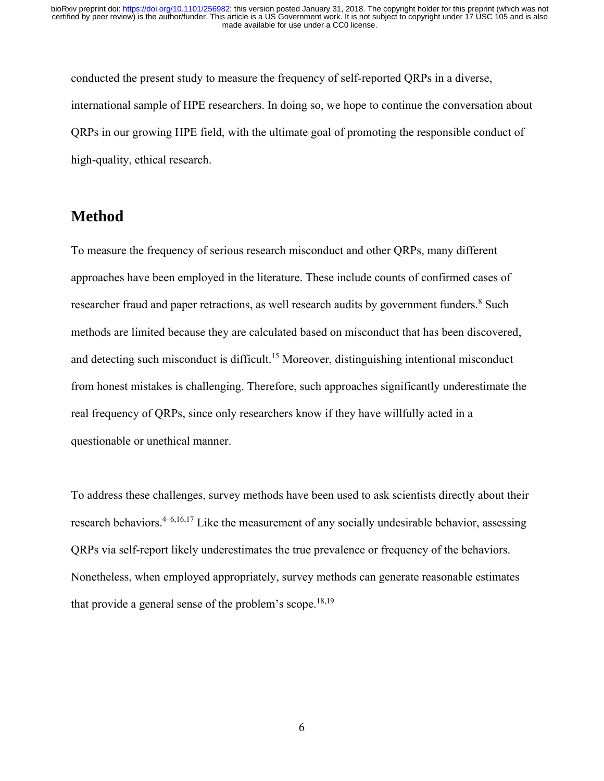conducted the present study to measure the frequency of self-reported QRPs in a diverse, international sample of HPE researchers. In doing so, we hope to continue the conversation about QRPs in our growing HPE field, with the ultimate goal of promoting the responsible conduct of high-quality, ethical research.

# **Method**

To measure the frequency of serious research misconduct and other QRPs, many different approaches have been employed in the literature. These include counts of confirmed cases of researcher fraud and paper retractions, as well research audits by government funders.<sup>8</sup> Such methods are limited because they are calculated based on misconduct that has been discovered, and detecting such misconduct is difficult.<sup>15</sup> Moreover, distinguishing intentional misconduct from honest mistakes is challenging. Therefore, such approaches significantly underestimate the real frequency of QRPs, since only researchers know if they have willfully acted in a questionable or unethical manner.

To address these challenges, survey methods have been used to ask scientists directly about their research behaviors.<sup>4–6,16,17</sup> Like the measurement of any socially undesirable behavior, assessing QRPs via self-report likely underestimates the true prevalence or frequency of the behaviors. Nonetheless, when employed appropriately, survey methods can generate reasonable estimates that provide a general sense of the problem's scope.<sup>18,19</sup>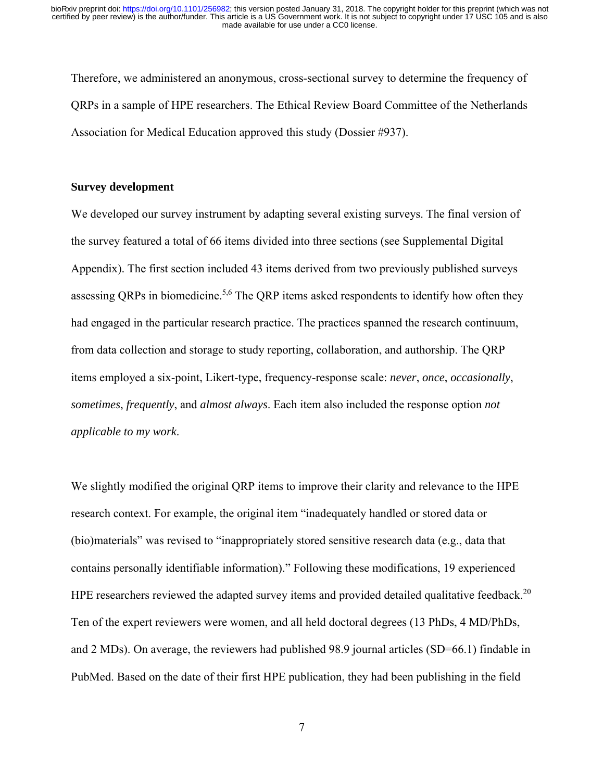Therefore, we administered an anonymous, cross-sectional survey to determine the frequency of QRPs in a sample of HPE researchers. The Ethical Review Board Committee of the Netherlands Association for Medical Education approved this study (Dossier #937).

#### **Survey development**

We developed our survey instrument by adapting several existing surveys. The final version of the survey featured a total of 66 items divided into three sections (see Supplemental Digital Appendix). The first section included 43 items derived from two previously published surveys assessing QRPs in biomedicine.<sup>5,6</sup> The QRP items asked respondents to identify how often they had engaged in the particular research practice. The practices spanned the research continuum, from data collection and storage to study reporting, collaboration, and authorship. The QRP items employed a six-point, Likert-type, frequency-response scale: *never*, *once*, *occasionally*, *sometimes*, *frequently*, and *almost always*. Each item also included the response option *not applicable to my work*.

We slightly modified the original QRP items to improve their clarity and relevance to the HPE research context. For example, the original item "inadequately handled or stored data or (bio)materials" was revised to "inappropriately stored sensitive research data (e.g., data that contains personally identifiable information)." Following these modifications, 19 experienced HPE researchers reviewed the adapted survey items and provided detailed qualitative feedback.<sup>20</sup> Ten of the expert reviewers were women, and all held doctoral degrees (13 PhDs, 4 MD/PhDs, and 2 MDs). On average, the reviewers had published 98.9 journal articles (SD=66.1) findable in PubMed. Based on the date of their first HPE publication, they had been publishing in the field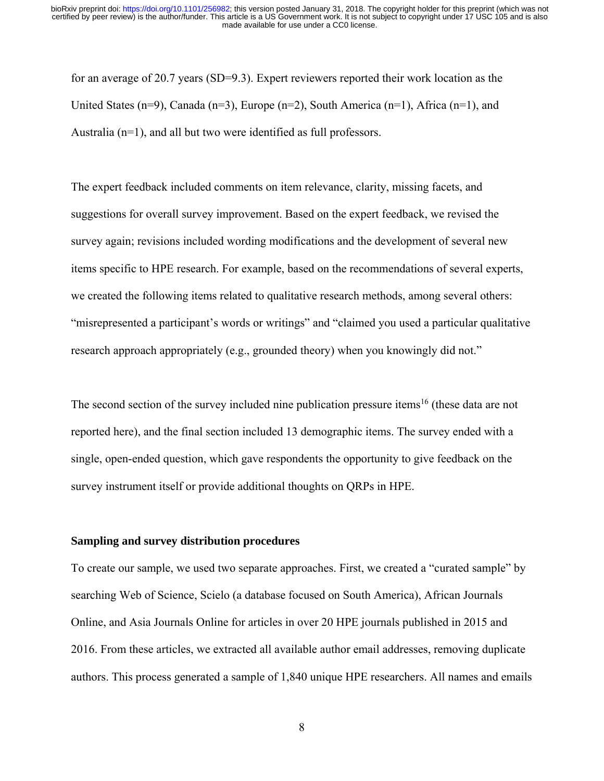for an average of 20.7 years (SD=9.3). Expert reviewers reported their work location as the United States (n=9), Canada (n=3), Europe (n=2), South America (n=1), Africa (n=1), and Australia (n=1), and all but two were identified as full professors.

The expert feedback included comments on item relevance, clarity, missing facets, and suggestions for overall survey improvement. Based on the expert feedback, we revised the survey again; revisions included wording modifications and the development of several new items specific to HPE research. For example, based on the recommendations of several experts, we created the following items related to qualitative research methods, among several others: "misrepresented a participant's words or writings" and "claimed you used a particular qualitative research approach appropriately (e.g., grounded theory) when you knowingly did not."

The second section of the survey included nine publication pressure items<sup>16</sup> (these data are not reported here), and the final section included 13 demographic items. The survey ended with a single, open-ended question, which gave respondents the opportunity to give feedback on the survey instrument itself or provide additional thoughts on QRPs in HPE.

#### **Sampling and survey distribution procedures**

To create our sample, we used two separate approaches. First, we created a "curated sample" by searching Web of Science, Scielo (a database focused on South America), African Journals Online, and Asia Journals Online for articles in over 20 HPE journals published in 2015 and 2016. From these articles, we extracted all available author email addresses, removing duplicate authors. This process generated a sample of 1,840 unique HPE researchers. All names and emails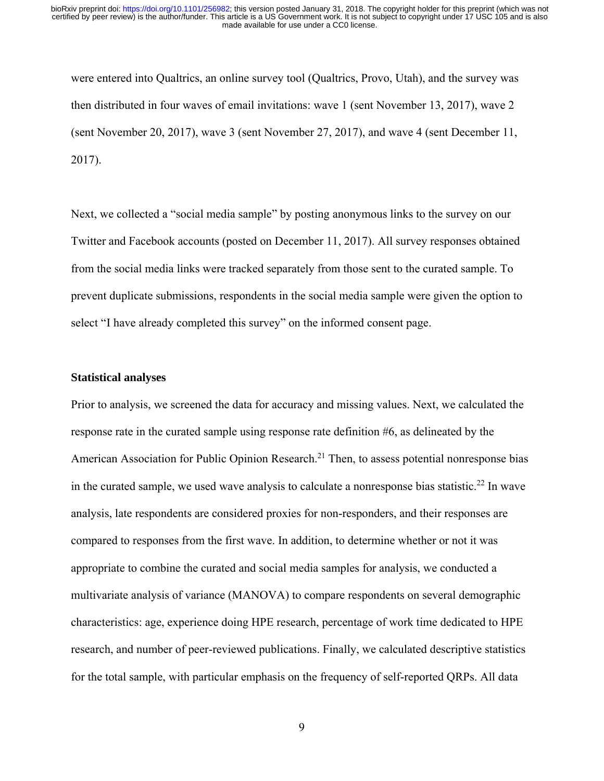were entered into Qualtrics, an online survey tool (Qualtrics, Provo, Utah), and the survey was then distributed in four waves of email invitations: wave 1 (sent November 13, 2017), wave 2 (sent November 20, 2017), wave 3 (sent November 27, 2017), and wave 4 (sent December 11, 2017).

Next, we collected a "social media sample" by posting anonymous links to the survey on our Twitter and Facebook accounts (posted on December 11, 2017). All survey responses obtained from the social media links were tracked separately from those sent to the curated sample. To prevent duplicate submissions, respondents in the social media sample were given the option to select "I have already completed this survey" on the informed consent page.

#### **Statistical analyses**

Prior to analysis, we screened the data for accuracy and missing values. Next, we calculated the response rate in the curated sample using response rate definition #6, as delineated by the American Association for Public Opinion Research.<sup>21</sup> Then, to assess potential nonresponse bias in the curated sample, we used wave analysis to calculate a nonresponse bias statistic.<sup>22</sup> In wave analysis, late respondents are considered proxies for non-responders, and their responses are compared to responses from the first wave. In addition, to determine whether or not it was appropriate to combine the curated and social media samples for analysis, we conducted a multivariate analysis of variance (MANOVA) to compare respondents on several demographic characteristics: age, experience doing HPE research, percentage of work time dedicated to HPE research, and number of peer-reviewed publications. Finally, we calculated descriptive statistics for the total sample, with particular emphasis on the frequency of self-reported QRPs. All data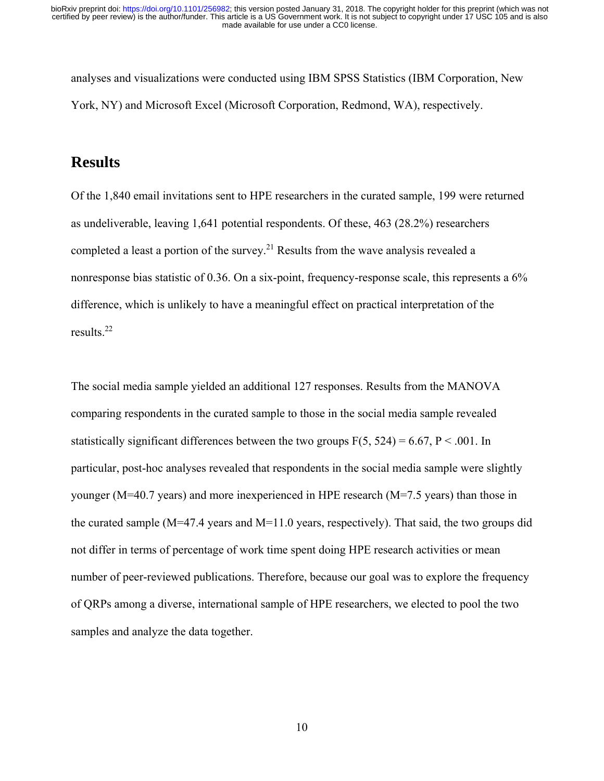analyses and visualizations were conducted using IBM SPSS Statistics (IBM Corporation, New York, NY) and Microsoft Excel (Microsoft Corporation, Redmond, WA), respectively.

# **Results**

Of the 1,840 email invitations sent to HPE researchers in the curated sample, 199 were returned as undeliverable, leaving 1,641 potential respondents. Of these, 463 (28.2%) researchers completed a least a portion of the survey.<sup>21</sup> Results from the wave analysis revealed a nonresponse bias statistic of 0.36. On a six-point, frequency-response scale, this represents a 6% difference, which is unlikely to have a meaningful effect on practical interpretation of the results.22

The social media sample yielded an additional 127 responses. Results from the MANOVA comparing respondents in the curated sample to those in the social media sample revealed statistically significant differences between the two groups  $F(5, 524) = 6.67$ ,  $P < .001$ . In particular, post-hoc analyses revealed that respondents in the social media sample were slightly younger (M=40.7 years) and more inexperienced in HPE research (M=7.5 years) than those in the curated sample (M=47.4 years and M=11.0 years, respectively). That said, the two groups did not differ in terms of percentage of work time spent doing HPE research activities or mean number of peer-reviewed publications. Therefore, because our goal was to explore the frequency of QRPs among a diverse, international sample of HPE researchers, we elected to pool the two samples and analyze the data together.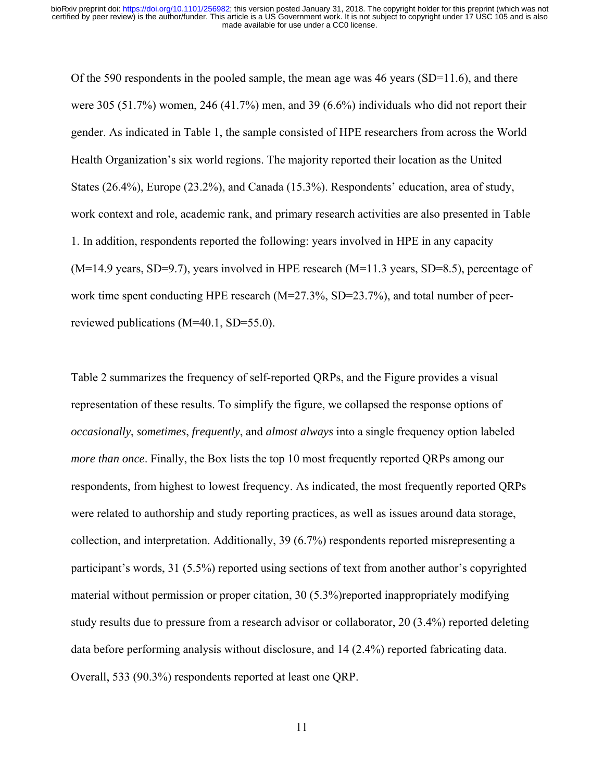Of the 590 respondents in the pooled sample, the mean age was 46 years ( $SD=11.6$ ), and there were 305 (51.7%) women, 246 (41.7%) men, and 39 (6.6%) individuals who did not report their gender. As indicated in Table 1, the sample consisted of HPE researchers from across the World Health Organization's six world regions. The majority reported their location as the United States (26.4%), Europe (23.2%), and Canada (15.3%). Respondents' education, area of study, work context and role, academic rank, and primary research activities are also presented in Table 1. In addition, respondents reported the following: years involved in HPE in any capacity  $(M=14.9 \text{ years}, SD=9.7)$ , years involved in HPE research  $(M=11.3 \text{ years}, SD=8.5)$ , percentage of work time spent conducting HPE research (M=27.3%, SD=23.7%), and total number of peerreviewed publications (M=40.1, SD=55.0).

Table 2 summarizes the frequency of self-reported QRPs, and the Figure provides a visual representation of these results. To simplify the figure, we collapsed the response options of *occasionally*, *sometimes*, *frequently*, and *almost always* into a single frequency option labeled *more than once*. Finally, the Box lists the top 10 most frequently reported QRPs among our respondents, from highest to lowest frequency. As indicated, the most frequently reported QRPs were related to authorship and study reporting practices, as well as issues around data storage, collection, and interpretation. Additionally, 39 (6.7%) respondents reported misrepresenting a participant's words, 31 (5.5%) reported using sections of text from another author's copyrighted material without permission or proper citation, 30 (5.3%)reported inappropriately modifying study results due to pressure from a research advisor or collaborator, 20 (3.4%) reported deleting data before performing analysis without disclosure, and 14 (2.4%) reported fabricating data. Overall, 533 (90.3%) respondents reported at least one QRP.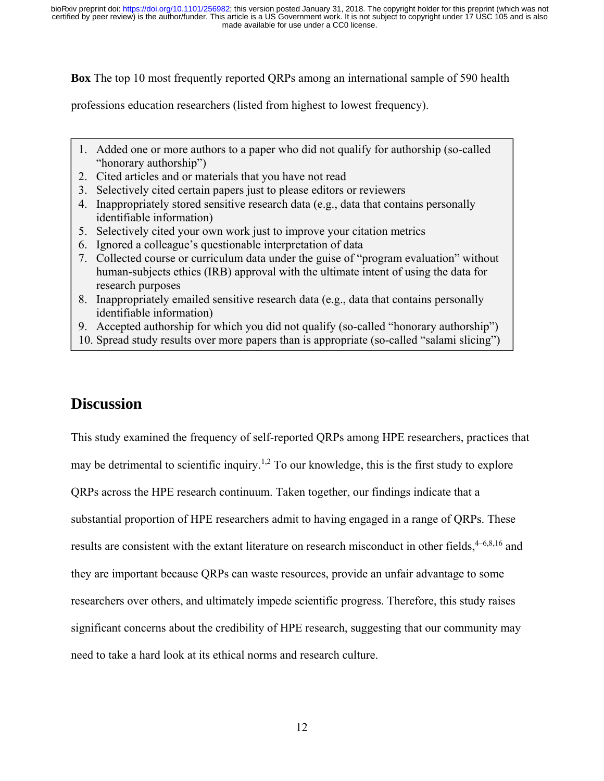**Box** The top 10 most frequently reported QRPs among an international sample of 590 health

professions education researchers (listed from highest to lowest frequency).

- 1. Added one or more authors to a paper who did not qualify for authorship (so-called "honorary authorship")
- 2. Cited articles and or materials that you have not read
- 3. Selectively cited certain papers just to please editors or reviewers
- 4. Inappropriately stored sensitive research data (e.g., data that contains personally identifiable information)
- 5. Selectively cited your own work just to improve your citation metrics
- 6. Ignored a colleague's questionable interpretation of data
- 7. Collected course or curriculum data under the guise of "program evaluation" without human-subjects ethics (IRB) approval with the ultimate intent of using the data for research purposes
- 8. Inappropriately emailed sensitive research data (e.g., data that contains personally identifiable information)
- 9. Accepted authorship for which you did not qualify (so-called "honorary authorship")
- 10. Spread study results over more papers than is appropriate (so-called "salami slicing")

# **Discussion**

This study examined the frequency of self-reported QRPs among HPE researchers, practices that may be detrimental to scientific inquiry.<sup>1,2</sup> To our knowledge, this is the first study to explore QRPs across the HPE research continuum. Taken together, our findings indicate that a substantial proportion of HPE researchers admit to having engaged in a range of QRPs. These results are consistent with the extant literature on research misconduct in other fields,  $4-6,8,16$  and they are important because QRPs can waste resources, provide an unfair advantage to some researchers over others, and ultimately impede scientific progress. Therefore, this study raises significant concerns about the credibility of HPE research, suggesting that our community may need to take a hard look at its ethical norms and research culture.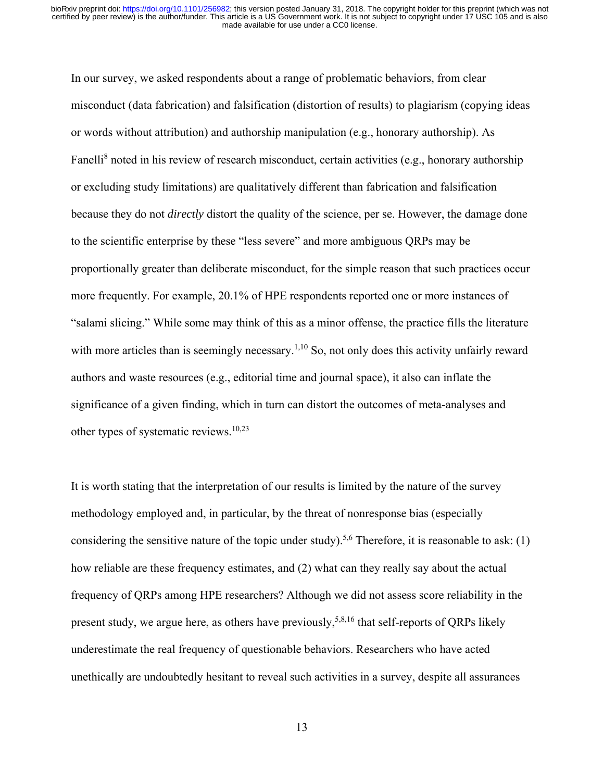In our survey, we asked respondents about a range of problematic behaviors, from clear misconduct (data fabrication) and falsification (distortion of results) to plagiarism (copying ideas or words without attribution) and authorship manipulation (e.g., honorary authorship). As Fanelli<sup>8</sup> noted in his review of research misconduct, certain activities (e.g., honorary authorship or excluding study limitations) are qualitatively different than fabrication and falsification because they do not *directly* distort the quality of the science, per se. However, the damage done to the scientific enterprise by these "less severe" and more ambiguous QRPs may be proportionally greater than deliberate misconduct, for the simple reason that such practices occur more frequently. For example, 20.1% of HPE respondents reported one or more instances of "salami slicing." While some may think of this as a minor offense, the practice fills the literature with more articles than is seemingly necessary.<sup>1,10</sup> So, not only does this activity unfairly reward authors and waste resources (e.g., editorial time and journal space), it also can inflate the significance of a given finding, which in turn can distort the outcomes of meta-analyses and other types of systematic reviews.10,23

It is worth stating that the interpretation of our results is limited by the nature of the survey methodology employed and, in particular, by the threat of nonresponse bias (especially considering the sensitive nature of the topic under study).<sup>5,6</sup> Therefore, it is reasonable to ask: (1) how reliable are these frequency estimates, and (2) what can they really say about the actual frequency of QRPs among HPE researchers? Although we did not assess score reliability in the present study, we argue here, as others have previously,  $5,8,16$  that self-reports of QRPs likely underestimate the real frequency of questionable behaviors. Researchers who have acted unethically are undoubtedly hesitant to reveal such activities in a survey, despite all assurances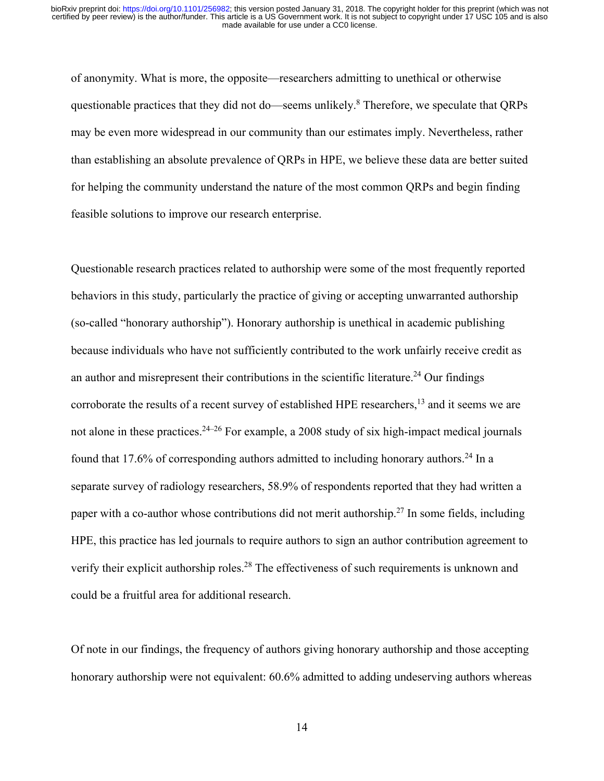of anonymity. What is more, the opposite—researchers admitting to unethical or otherwise questionable practices that they did not do—seems unlikely.<sup>8</sup> Therefore, we speculate that QRPs may be even more widespread in our community than our estimates imply. Nevertheless, rather than establishing an absolute prevalence of QRPs in HPE, we believe these data are better suited for helping the community understand the nature of the most common QRPs and begin finding feasible solutions to improve our research enterprise.

Questionable research practices related to authorship were some of the most frequently reported behaviors in this study, particularly the practice of giving or accepting unwarranted authorship (so-called "honorary authorship"). Honorary authorship is unethical in academic publishing because individuals who have not sufficiently contributed to the work unfairly receive credit as an author and misrepresent their contributions in the scientific literature.<sup>24</sup> Our findings corroborate the results of a recent survey of established HPE researchers,<sup>13</sup> and it seems we are not alone in these practices.  $24-26$  For example, a 2008 study of six high-impact medical journals found that 17.6% of corresponding authors admitted to including honorary authors.<sup>24</sup> In a separate survey of radiology researchers, 58.9% of respondents reported that they had written a paper with a co-author whose contributions did not merit authorship.<sup>27</sup> In some fields, including HPE, this practice has led journals to require authors to sign an author contribution agreement to verify their explicit authorship roles.<sup>28</sup> The effectiveness of such requirements is unknown and could be a fruitful area for additional research.

Of note in our findings, the frequency of authors giving honorary authorship and those accepting honorary authorship were not equivalent: 60.6% admitted to adding undeserving authors whereas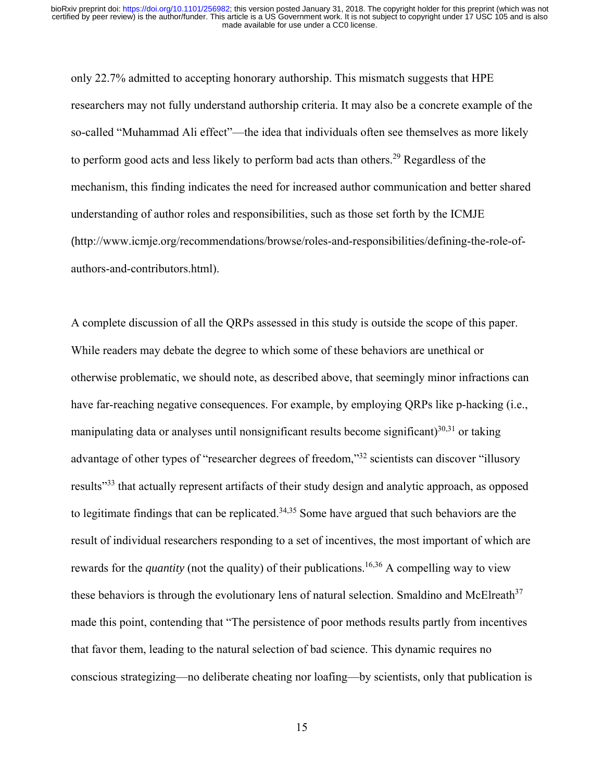only 22.7% admitted to accepting honorary authorship. This mismatch suggests that HPE researchers may not fully understand authorship criteria. It may also be a concrete example of the so-called "Muhammad Ali effect"—the idea that individuals often see themselves as more likely to perform good acts and less likely to perform bad acts than others.<sup>29</sup> Regardless of the mechanism, this finding indicates the need for increased author communication and better shared understanding of author roles and responsibilities, such as those set forth by the ICMJE (http://www.icmje.org/recommendations/browse/roles-and-responsibilities/defining-the-role-ofauthors-and-contributors.html).

A complete discussion of all the QRPs assessed in this study is outside the scope of this paper. While readers may debate the degree to which some of these behaviors are unethical or otherwise problematic, we should note, as described above, that seemingly minor infractions can have far-reaching negative consequences. For example, by employing QRPs like p-hacking (i.e., manipulating data or analyses until nonsignificant results become significant) $30,31$  or taking advantage of other types of "researcher degrees of freedom,"32 scientists can discover "illusory results"33 that actually represent artifacts of their study design and analytic approach, as opposed to legitimate findings that can be replicated.<sup>34,35</sup> Some have argued that such behaviors are the result of individual researchers responding to a set of incentives, the most important of which are rewards for the *quantity* (not the quality) of their publications.<sup>16,36</sup> A compelling way to view these behaviors is through the evolutionary lens of natural selection. Smaldino and McElreath<sup>37</sup> made this point, contending that "The persistence of poor methods results partly from incentives that favor them, leading to the natural selection of bad science. This dynamic requires no conscious strategizing—no deliberate cheating nor loafing—by scientists, only that publication is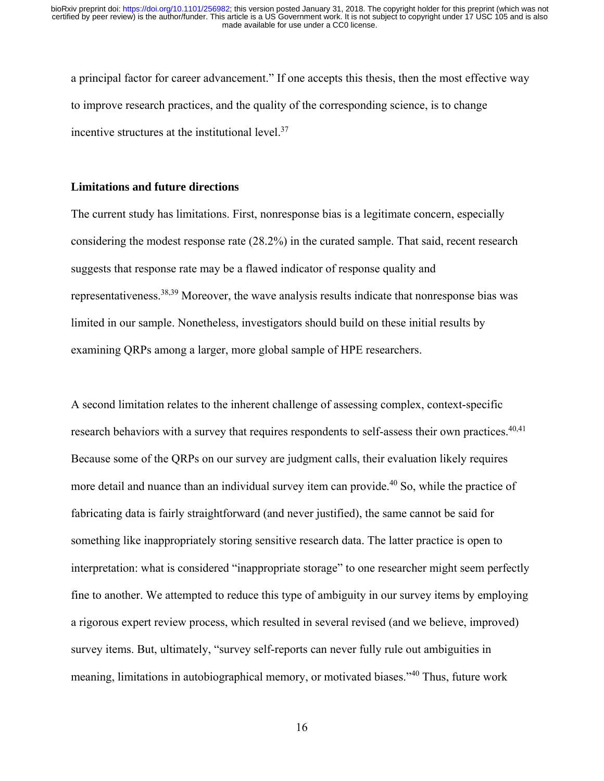a principal factor for career advancement." If one accepts this thesis, then the most effective way to improve research practices, and the quality of the corresponding science, is to change incentive structures at the institutional level.<sup>37</sup>

#### **Limitations and future directions**

The current study has limitations. First, nonresponse bias is a legitimate concern, especially considering the modest response rate (28.2%) in the curated sample. That said, recent research suggests that response rate may be a flawed indicator of response quality and representativeness.38,39 Moreover, the wave analysis results indicate that nonresponse bias was limited in our sample. Nonetheless, investigators should build on these initial results by examining QRPs among a larger, more global sample of HPE researchers.

A second limitation relates to the inherent challenge of assessing complex, context-specific research behaviors with a survey that requires respondents to self-assess their own practices.<sup>40,41</sup> Because some of the QRPs on our survey are judgment calls, their evaluation likely requires more detail and nuance than an individual survey item can provide.<sup>40</sup> So, while the practice of fabricating data is fairly straightforward (and never justified), the same cannot be said for something like inappropriately storing sensitive research data. The latter practice is open to interpretation: what is considered "inappropriate storage" to one researcher might seem perfectly fine to another. We attempted to reduce this type of ambiguity in our survey items by employing a rigorous expert review process, which resulted in several revised (and we believe, improved) survey items. But, ultimately, "survey self-reports can never fully rule out ambiguities in meaning, limitations in autobiographical memory, or motivated biases."40 Thus, future work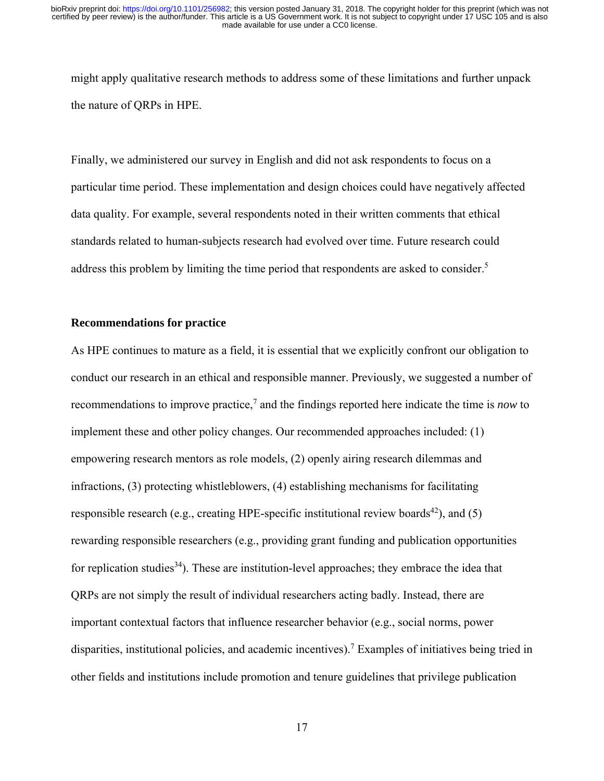might apply qualitative research methods to address some of these limitations and further unpack the nature of QRPs in HPE.

Finally, we administered our survey in English and did not ask respondents to focus on a particular time period. These implementation and design choices could have negatively affected data quality. For example, several respondents noted in their written comments that ethical standards related to human-subjects research had evolved over time. Future research could address this problem by limiting the time period that respondents are asked to consider.<sup>5</sup>

#### **Recommendations for practice**

As HPE continues to mature as a field, it is essential that we explicitly confront our obligation to conduct our research in an ethical and responsible manner. Previously, we suggested a number of recommendations to improve practice,<sup>7</sup> and the findings reported here indicate the time is *now* to implement these and other policy changes. Our recommended approaches included: (1) empowering research mentors as role models, (2) openly airing research dilemmas and infractions, (3) protecting whistleblowers, (4) establishing mechanisms for facilitating responsible research (e.g., creating HPE-specific institutional review boards<sup>42</sup>), and (5) rewarding responsible researchers (e.g., providing grant funding and publication opportunities for replication studies<sup>34</sup>). These are institution-level approaches; they embrace the idea that QRPs are not simply the result of individual researchers acting badly. Instead, there are important contextual factors that influence researcher behavior (e.g., social norms, power disparities, institutional policies, and academic incentives).7 Examples of initiatives being tried in other fields and institutions include promotion and tenure guidelines that privilege publication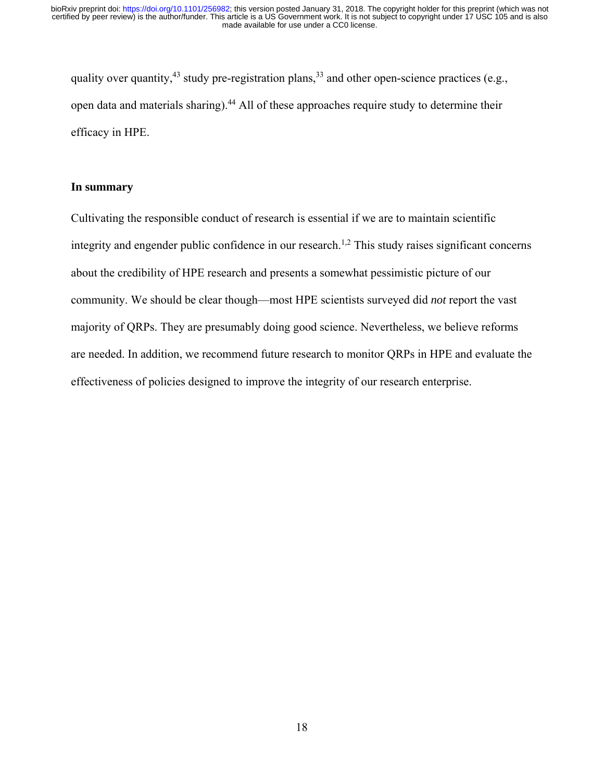quality over quantity,<sup>43</sup> study pre-registration plans,<sup>33</sup> and other open-science practices (e.g., open data and materials sharing).<sup>44</sup> All of these approaches require study to determine their efficacy in HPE.

#### **In summary**

Cultivating the responsible conduct of research is essential if we are to maintain scientific integrity and engender public confidence in our research.<sup>1,2</sup> This study raises significant concerns about the credibility of HPE research and presents a somewhat pessimistic picture of our community. We should be clear though—most HPE scientists surveyed did *not* report the vast majority of QRPs. They are presumably doing good science. Nevertheless, we believe reforms are needed. In addition, we recommend future research to monitor QRPs in HPE and evaluate the effectiveness of policies designed to improve the integrity of our research enterprise.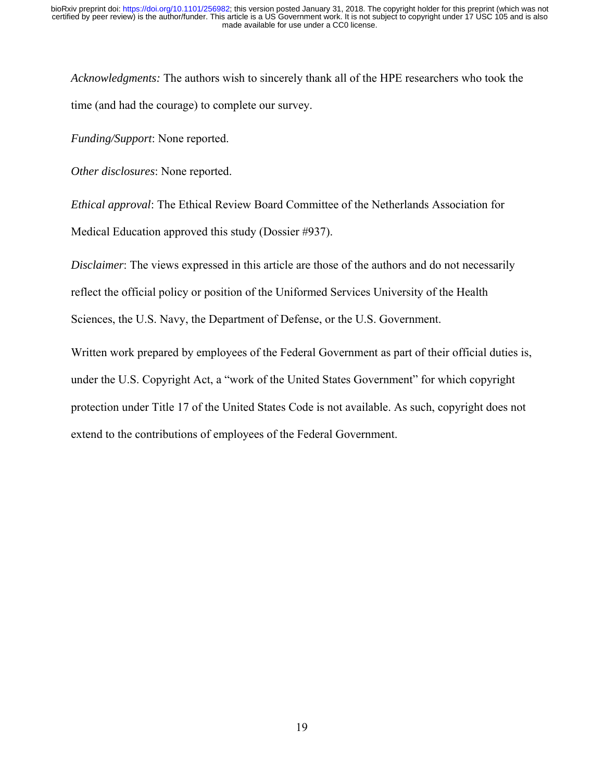*Acknowledgments:* The authors wish to sincerely thank all of the HPE researchers who took the time (and had the courage) to complete our survey.

*Funding/Support*: None reported.

*Other disclosures*: None reported.

*Ethical approval*: The Ethical Review Board Committee of the Netherlands Association for Medical Education approved this study (Dossier #937).

*Disclaimer*: The views expressed in this article are those of the authors and do not necessarily

reflect the official policy or position of the Uniformed Services University of the Health

Sciences, the U.S. Navy, the Department of Defense, or the U.S. Government.

Written work prepared by employees of the Federal Government as part of their official duties is, under the U.S. Copyright Act, a "work of the United States Government" for which copyright protection under Title 17 of the United States Code is not available. As such, copyright does not extend to the contributions of employees of the Federal Government.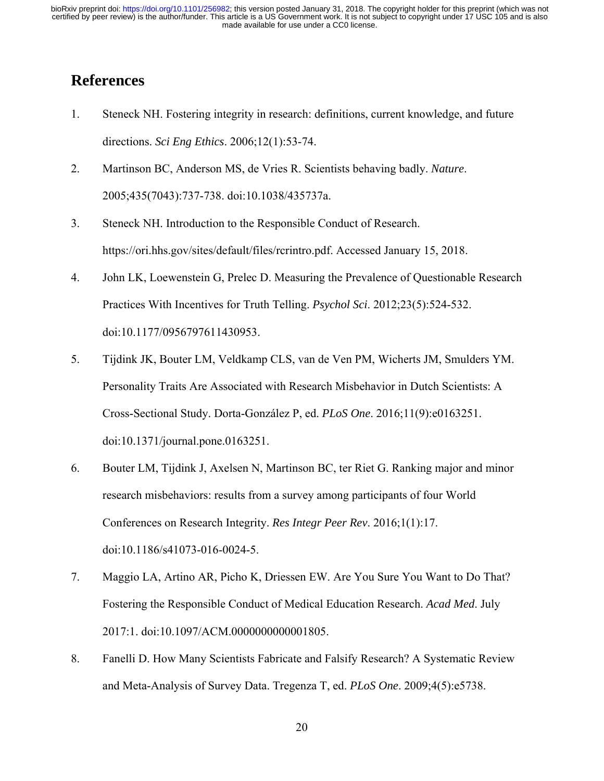# **References**

- 1. Steneck NH. Fostering integrity in research: definitions, current knowledge, and future directions. *Sci Eng Ethics*. 2006;12(1):53-74.
- 2. Martinson BC, Anderson MS, de Vries R. Scientists behaving badly. *Nature*. 2005;435(7043):737-738. doi:10.1038/435737a.
- 3. Steneck NH. Introduction to the Responsible Conduct of Research. https://ori.hhs.gov/sites/default/files/rcrintro.pdf. Accessed January 15, 2018.
- 4. John LK, Loewenstein G, Prelec D. Measuring the Prevalence of Questionable Research Practices With Incentives for Truth Telling. *Psychol Sci*. 2012;23(5):524-532. doi:10.1177/0956797611430953.
- 5. Tijdink JK, Bouter LM, Veldkamp CLS, van de Ven PM, Wicherts JM, Smulders YM. Personality Traits Are Associated with Research Misbehavior in Dutch Scientists: A Cross-Sectional Study. Dorta-González P, ed. *PLoS One*. 2016;11(9):e0163251. doi:10.1371/journal.pone.0163251.
- 6. Bouter LM, Tijdink J, Axelsen N, Martinson BC, ter Riet G. Ranking major and minor research misbehaviors: results from a survey among participants of four World Conferences on Research Integrity. *Res Integr Peer Rev*. 2016;1(1):17. doi:10.1186/s41073-016-0024-5.
- 7. Maggio LA, Artino AR, Picho K, Driessen EW. Are You Sure You Want to Do That? Fostering the Responsible Conduct of Medical Education Research. *Acad Med*. July 2017:1. doi:10.1097/ACM.0000000000001805.
- 8. Fanelli D. How Many Scientists Fabricate and Falsify Research? A Systematic Review and Meta-Analysis of Survey Data. Tregenza T, ed. *PLoS One*. 2009;4(5):e5738.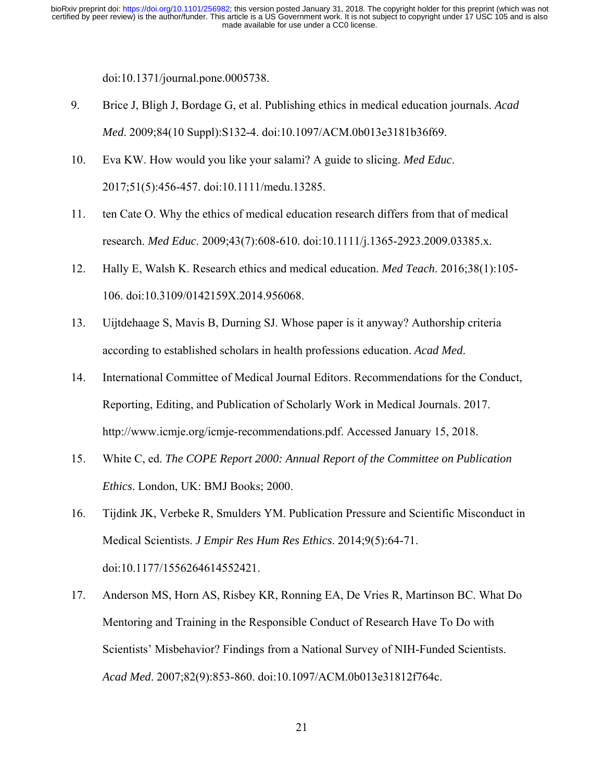doi:10.1371/journal.pone.0005738.

- 9. Brice J, Bligh J, Bordage G, et al. Publishing ethics in medical education journals. *Acad Med*. 2009;84(10 Suppl):S132-4. doi:10.1097/ACM.0b013e3181b36f69.
- 10. Eva KW. How would you like your salami? A guide to slicing. *Med Educ*. 2017;51(5):456-457. doi:10.1111/medu.13285.
- 11. ten Cate O. Why the ethics of medical education research differs from that of medical research. *Med Educ*. 2009;43(7):608-610. doi:10.1111/j.1365-2923.2009.03385.x.
- 12. Hally E, Walsh K. Research ethics and medical education. *Med Teach*. 2016;38(1):105- 106. doi:10.3109/0142159X.2014.956068.
- 13. Uijtdehaage S, Mavis B, Durning SJ. Whose paper is it anyway? Authorship criteria according to established scholars in health professions education. *Acad Med*.
- 14. International Committee of Medical Journal Editors. Recommendations for the Conduct, Reporting, Editing, and Publication of Scholarly Work in Medical Journals. 2017. http://www.icmje.org/icmje-recommendations.pdf. Accessed January 15, 2018.
- 15. White C, ed. *The COPE Report 2000: Annual Report of the Committee on Publication Ethics*. London, UK: BMJ Books; 2000.
- 16. Tijdink JK, Verbeke R, Smulders YM. Publication Pressure and Scientific Misconduct in Medical Scientists. *J Empir Res Hum Res Ethics*. 2014;9(5):64-71. doi:10.1177/1556264614552421.
- 17. Anderson MS, Horn AS, Risbey KR, Ronning EA, De Vries R, Martinson BC. What Do Mentoring and Training in the Responsible Conduct of Research Have To Do with Scientists' Misbehavior? Findings from a National Survey of NIH-Funded Scientists. *Acad Med*. 2007;82(9):853-860. doi:10.1097/ACM.0b013e31812f764c.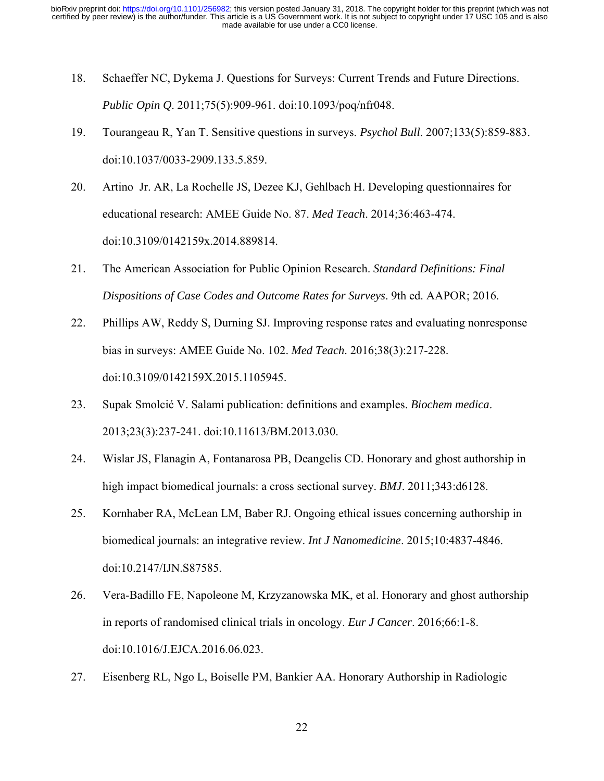- 18. Schaeffer NC, Dykema J. Questions for Surveys: Current Trends and Future Directions. *Public Opin Q*. 2011;75(5):909-961. doi:10.1093/poq/nfr048.
- 19. Tourangeau R, Yan T. Sensitive questions in surveys. *Psychol Bull*. 2007;133(5):859-883. doi:10.1037/0033-2909.133.5.859.
- 20. Artino Jr. AR, La Rochelle JS, Dezee KJ, Gehlbach H. Developing questionnaires for educational research: AMEE Guide No. 87. *Med Teach*. 2014;36:463-474. doi:10.3109/0142159x.2014.889814.
- 21. The American Association for Public Opinion Research. *Standard Definitions: Final Dispositions of Case Codes and Outcome Rates for Surveys*. 9th ed. AAPOR; 2016.
- 22. Phillips AW, Reddy S, Durning SJ. Improving response rates and evaluating nonresponse bias in surveys: AMEE Guide No. 102. *Med Teach*. 2016;38(3):217-228. doi:10.3109/0142159X.2015.1105945.
- 23. Supak Smolcić V. Salami publication: definitions and examples. *Biochem medica*. 2013;23(3):237-241. doi:10.11613/BM.2013.030.
- 24. Wislar JS, Flanagin A, Fontanarosa PB, Deangelis CD. Honorary and ghost authorship in high impact biomedical journals: a cross sectional survey. *BMJ*. 2011;343:d6128.
- 25. Kornhaber RA, McLean LM, Baber RJ. Ongoing ethical issues concerning authorship in biomedical journals: an integrative review. *Int J Nanomedicine*. 2015;10:4837-4846. doi:10.2147/IJN.S87585.
- 26. Vera-Badillo FE, Napoleone M, Krzyzanowska MK, et al. Honorary and ghost authorship in reports of randomised clinical trials in oncology. *Eur J Cancer*. 2016;66:1-8. doi:10.1016/J.EJCA.2016.06.023.
- 27. Eisenberg RL, Ngo L, Boiselle PM, Bankier AA. Honorary Authorship in Radiologic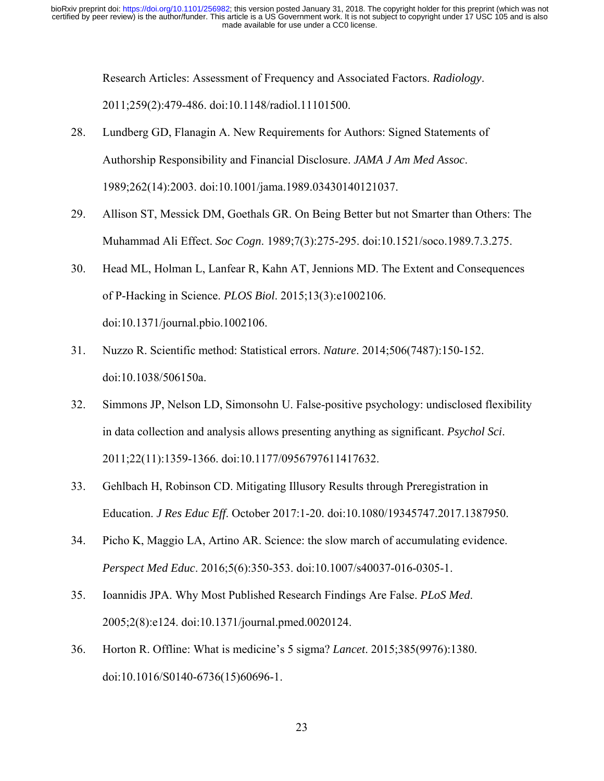Research Articles: Assessment of Frequency and Associated Factors. *Radiology*. 2011;259(2):479-486. doi:10.1148/radiol.11101500.

- 28. Lundberg GD, Flanagin A. New Requirements for Authors: Signed Statements of Authorship Responsibility and Financial Disclosure. *JAMA J Am Med Assoc*. 1989;262(14):2003. doi:10.1001/jama.1989.03430140121037.
- 29. Allison ST, Messick DM, Goethals GR. On Being Better but not Smarter than Others: The Muhammad Ali Effect. *Soc Cogn*. 1989;7(3):275-295. doi:10.1521/soco.1989.7.3.275.
- 30. Head ML, Holman L, Lanfear R, Kahn AT, Jennions MD. The Extent and Consequences of P-Hacking in Science. *PLOS Biol*. 2015;13(3):e1002106. doi:10.1371/journal.pbio.1002106.
- 31. Nuzzo R. Scientific method: Statistical errors. *Nature*. 2014;506(7487):150-152. doi:10.1038/506150a.
- 32. Simmons JP, Nelson LD, Simonsohn U. False-positive psychology: undisclosed flexibility in data collection and analysis allows presenting anything as significant. *Psychol Sci*. 2011;22(11):1359-1366. doi:10.1177/0956797611417632.
- 33. Gehlbach H, Robinson CD. Mitigating Illusory Results through Preregistration in Education. *J Res Educ Eff*. October 2017:1-20. doi:10.1080/19345747.2017.1387950.
- 34. Picho K, Maggio LA, Artino AR. Science: the slow march of accumulating evidence. *Perspect Med Educ*. 2016;5(6):350-353. doi:10.1007/s40037-016-0305-1.
- 35. Ioannidis JPA. Why Most Published Research Findings Are False. *PLoS Med*. 2005;2(8):e124. doi:10.1371/journal.pmed.0020124.
- 36. Horton R. Offline: What is medicine's 5 sigma? *Lancet*. 2015;385(9976):1380. doi:10.1016/S0140-6736(15)60696-1.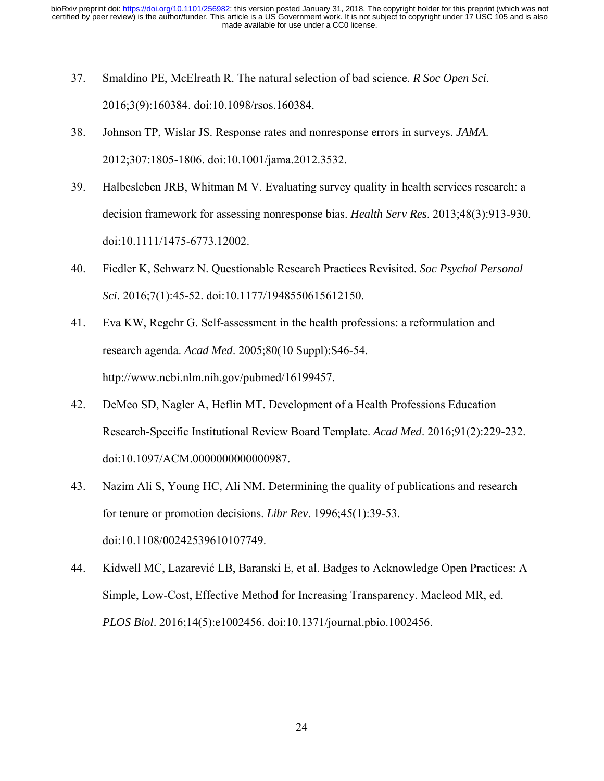- 37. Smaldino PE, McElreath R. The natural selection of bad science. *R Soc Open Sci*. 2016;3(9):160384. doi:10.1098/rsos.160384.
- 38. Johnson TP, Wislar JS. Response rates and nonresponse errors in surveys. *JAMA*. 2012;307:1805-1806. doi:10.1001/jama.2012.3532.
- 39. Halbesleben JRB, Whitman M V. Evaluating survey quality in health services research: a decision framework for assessing nonresponse bias. *Health Serv Res*. 2013;48(3):913-930. doi:10.1111/1475-6773.12002.
- 40. Fiedler K, Schwarz N. Questionable Research Practices Revisited. *Soc Psychol Personal Sci*. 2016;7(1):45-52. doi:10.1177/1948550615612150.
- 41. Eva KW, Regehr G. Self-assessment in the health professions: a reformulation and research agenda. *Acad Med*. 2005;80(10 Suppl):S46-54. http://www.ncbi.nlm.nih.gov/pubmed/16199457.
- 42. DeMeo SD, Nagler A, Heflin MT. Development of a Health Professions Education Research-Specific Institutional Review Board Template. *Acad Med*. 2016;91(2):229-232. doi:10.1097/ACM.0000000000000987.
- 43. Nazim Ali S, Young HC, Ali NM. Determining the quality of publications and research for tenure or promotion decisions. *Libr Rev*. 1996;45(1):39-53. doi:10.1108/00242539610107749.
- 44. Kidwell MC, Lazarević LB, Baranski E, et al. Badges to Acknowledge Open Practices: A Simple, Low-Cost, Effective Method for Increasing Transparency. Macleod MR, ed. *PLOS Biol*. 2016;14(5):e1002456. doi:10.1371/journal.pbio.1002456.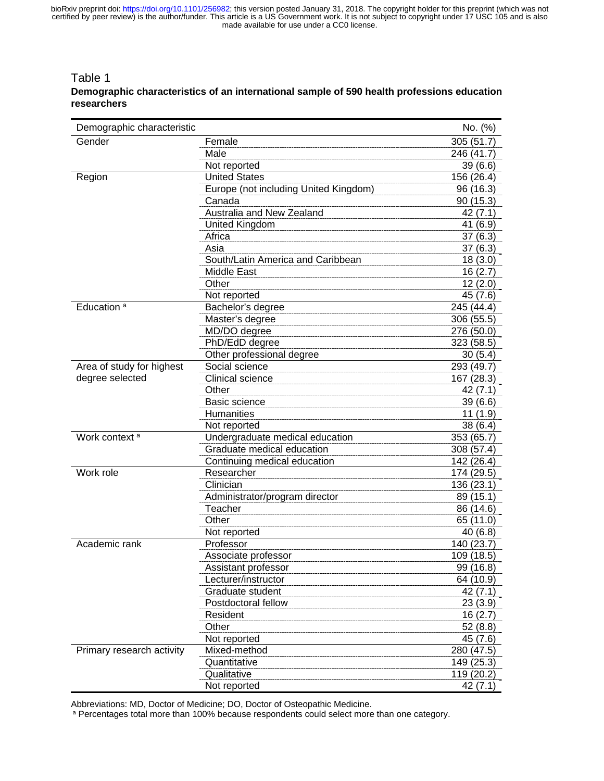#### Table 1 **Demographic characteristics of an international sample of 590 health professions education researchers**

| Demographic characteristic |                                       | No. (%)    |
|----------------------------|---------------------------------------|------------|
| Gender                     | Female                                | 305(51.7)  |
|                            | Male                                  | 246 (41.7) |
|                            | Not reported                          | 39(6.6)    |
| Region                     | <b>United States</b>                  | 156 (26.4) |
|                            | Europe (not including United Kingdom) | 96 (16.3)  |
|                            | Canada                                | 90(15.3)   |
|                            | Australia and New Zealand             | 42 (7.1)   |
|                            | <b>United Kingdom</b>                 | 41 (6.9)   |
|                            | Africa                                | 37(6.3)    |
|                            | Asia                                  | 37(6.3)    |
|                            | South/Latin America and Caribbean     | 18(3.0)    |
|                            | <b>Middle East</b>                    | 16(2.7)    |
|                            | Other                                 | 12(2.0)    |
|                            | Not reported                          | 45 (7.6)   |
| Education <sup>a</sup>     | Bachelor's degree                     | 245 (44.4) |
|                            | Master's degree                       | 306 (55.5) |
|                            | MD/DO degree                          | 276 (50.0) |
|                            | PhD/EdD degree                        | 323 (58.5) |
|                            | Other professional degree             | 30(5.4)    |
| Area of study for highest  | Social science                        | 293 (49.7) |
| degree selected            | <b>Clinical science</b>               | 167 (28.3) |
|                            | Other                                 | 42(7.1)    |
|                            | Basic science                         | 39 (6.6)   |
|                            | <b>Humanities</b>                     | 11(1.9)    |
|                            | Not reported                          | 38 (6.4)   |
| Work context <sup>a</sup>  | Undergraduate medical education       | 353 (65.7) |
|                            | Graduate medical education            | 308 (57.4) |
|                            | Continuing medical education          | 142 (26.4) |
| Work role                  | Researcher                            | 174 (29.5) |
|                            | Clinician                             | 136 (23.1) |
|                            | Administrator/program director        | 89 (15.1)  |
|                            | Teacher                               | 86 (14.6)  |
|                            | Other                                 | 65 (11.0)  |
|                            | Not reported                          | 40 (6.8)   |
| Academic rank              | Professor                             | 140 (23.7) |
|                            | Associate professor                   | 109 (18.5) |
|                            | Assistant professor                   | 99 (16.8)  |
|                            | Lecturer/instructor                   | 64 (10.9)  |
|                            | Graduate student                      | 42 (7.1)   |
|                            | Postdoctoral fellow                   | 23(3.9)    |
|                            | Resident                              | 16(2.7)    |
|                            | Other                                 | 52(8.8)    |
|                            | Not reported                          | 45 (7.6)   |
| Primary research activity  | Mixed-method                          | 280 (47.5) |
|                            | Quantitative                          | 149 (25.3) |
|                            | Qualitative                           | 119 (20.2) |
|                            | Not reported                          | 42 (7.1)   |

Abbreviations: MD, Doctor of Medicine; DO, Doctor of Osteopathic Medicine.<br><sup>a</sup> Percentages total more than 100% because respondents could select more than one category.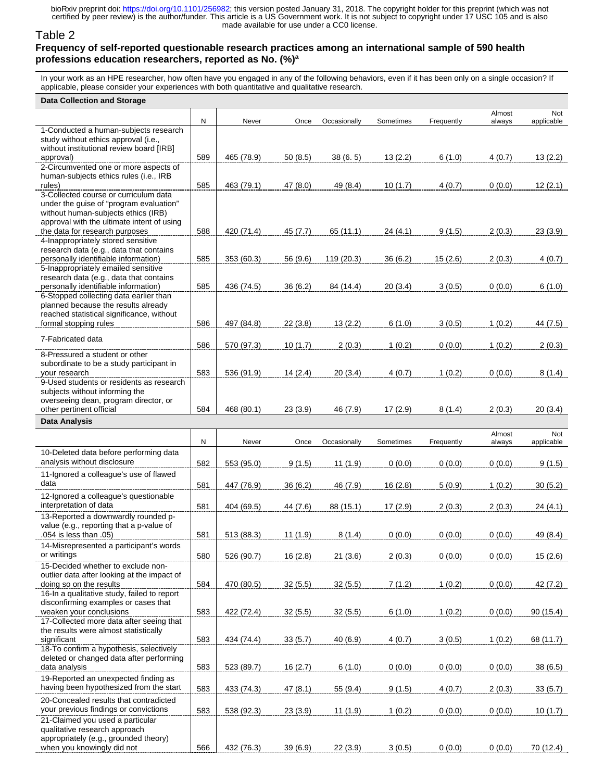#### Table 2 **Frequency of self-reported questionable research practices among an international sample of 590 health professions education researchers, reported as No. (%)a**

In your work as an HPE researcher, how often have you engaged in any of the following behaviors, even if it has been only on a single occasion? If applicable, please consider your experiences with both quantitative and qualitative research.

| <b>Data Collection and Storage</b>                                                                                                                                                                      |     |            |          |              |           |            |                  |                   |
|---------------------------------------------------------------------------------------------------------------------------------------------------------------------------------------------------------|-----|------------|----------|--------------|-----------|------------|------------------|-------------------|
|                                                                                                                                                                                                         | N   | Never      | Once     | Occasionally | Sometimes | Frequently | Almost<br>always | Not<br>applicable |
| 1-Conducted a human-subjects research<br>study without ethics approval (i.e.,<br>without institutional review board [IRB]                                                                               |     |            |          |              |           |            |                  |                   |
| approval)<br>2-Circumvented one or more aspects of                                                                                                                                                      | 589 | 465 (78.9) | 50(8.5)  | 38(6.5)      | 13(2.2)   | 6(1.0)     | 4(0.7)           | 13(2.2)           |
| human-subjects ethics rules (i.e., IRB<br>rules)                                                                                                                                                        | 585 | 463 (79.1) | 47 (8.0) | 49 (8.4)     | 10(1.7)   | 4(0.7)     | 0(0.0)           | 12(2.1)           |
| 3-Collected course or curriculum data<br>under the guise of "program evaluation"<br>without human-subjects ethics (IRB)<br>approval with the ultimate intent of using<br>the data for research purposes | 588 | 420 (71.4) | 45 (7.7) | 65 (11.1)    | 24(4.1)   | 9(1.5)     | 2(0.3)           |                   |
| 4-Inappropriately stored sensitive<br>research data (e.g., data that contains<br>personally identifiable information)                                                                                   | 585 | 353 (60.3) | 56 (9.6) | 119 (20.3)   | 36(6.2)   | 15(2.6)    | 2(0.3)           | 23(3.9)<br>4(0.7) |
| 5-Inappropriately emailed sensitive<br>research data (e.g., data that contains<br>personally identifiable information)                                                                                  | 585 | 436 (74.5) | 36(6.2)  | 84 (14.4)    | 20(3.4)   | 3(0.5)     | 0(0.0)           | 6(1.0)            |
| 6-Stopped collecting data earlier than<br>planned because the results already<br>reached statistical significance, without<br>formal stopping rules                                                     | 586 | 497 (84.8) | 22(3.8)  | 13(2.2)      | 6(1.0)    | 3(0.5)     | 1(0.2)           | 44 (7.5)          |
| 7-Fabricated data                                                                                                                                                                                       |     |            |          |              |           |            |                  |                   |
| 8-Pressured a student or other<br>subordinate to be a study participant in                                                                                                                              | 586 | 570 (97.3) | 10(1.7)  | 2(0.3)       | 1(0.2)    | 0(0.0)     | 1(0.2)           | 2(0.3)            |
| your research<br>9-Used students or residents as research                                                                                                                                               | 583 | 536 (91.9) | 14(2.4)  | 20(3.4)      | 4(0.7)    | 1(0.2)     | 0(0.0)           | 8(1.4)            |
| subjects without informing the<br>overseeing dean, program director, or<br>other pertinent official                                                                                                     | 584 | 468 (80.1) | 23(3.9)  | 46 (7.9)     | 17(2.9)   | 8(1.4)     | 2(0.3)           | 20(3.4)           |
| Data Analysis                                                                                                                                                                                           |     |            |          |              |           |            |                  |                   |
|                                                                                                                                                                                                         |     |            |          |              |           |            |                  |                   |
|                                                                                                                                                                                                         | N   | Never      | Once     | Occasionally | Sometimes | Frequently | Almost<br>always | Not<br>applicable |
| 10-Deleted data before performing data<br>analysis without disclosure                                                                                                                                   | 582 | 553 (95.0) | 9(1.5)   | 11(1.9)      | 0(0.0)    | 0(0.0)     | 0(0.0)           | 9(1.5)            |
| 11-Ignored a colleague's use of flawed<br>data                                                                                                                                                          | 581 | 447 (76.9) | 36 (6.2) | 46 (7.9)     | 16(2.8)   | 5(0.9)     | 1(0.2)           | 30(5.2)           |
| 12-Ignored a colleague's questionable<br>interpretation of data                                                                                                                                         | 581 | 404 (69.5) | 44 (7.6) | 88 (15.1)    | 17(2.9)   | 2(0.3)     | 2(0.3)           | 24(4.1)           |
| 13-Reported a downwardly rounded p-<br>value (e.g., reporting that a p-value of<br>.054 is less than .05)                                                                                               | 581 | 513 (88.3) | 11(1.9)  | 8(1.4)       | 0(0.0)    | 0(0.0)     | 0(0.0)           | 49 (8.4)          |
| 14-Misrepresented a participant's words<br>or writings                                                                                                                                                  | 580 | 526 (90.7) | 16(2.8)  | 21(3.6)      | 2(0.3)    | 0(0.0)     | 0(0.0)           | 15(2.6)           |
| 15-Decided whether to exclude non-<br>outlier data after looking at the impact of<br>doing so on the results                                                                                            | 584 | 470 (80.5) | 32(5.5)  | 32(5.5)      | 7(1.2)    | 1(0.2)     | 0(0.0)           | 42 (7.2)          |
| 16-In a qualitative study, failed to report<br>disconfirming examples or cases that<br>weaken your conclusions                                                                                          | 583 | 422 (72.4) | 32(5.5)  | 32(5.5)      | 6(1.0)    | 1(0.2)     | 0(0.0)           | 90(15.4)          |
| 17-Collected more data after seeing that<br>the results were almost statistically<br>significant                                                                                                        | 583 | 434 (74.4) | 33(5.7)  | 40 (6.9)     | 4(0.7)    | 3(0.5)     | 1(0.2)           | 68 (11.7)         |
| 18-To confirm a hypothesis, selectively<br>deleted or changed data after performing<br>data analysis                                                                                                    | 583 | 523 (89.7) | 16(2.7)  | 6(1.0)       | 0(0.0)    | 0(0.0)     | 0(0.0)           | 38(6.5)           |
| 19-Reported an unexpected finding as<br>having been hypothesized from the start                                                                                                                         | 583 | 433 (74.3) | 47(8.1)  | 55 (9.4)     | 9(1.5)    | 4(0.7)     | 2(0.3)           | 33(5.7)           |
| 20-Concealed results that contradicted<br>your previous findings or convictions                                                                                                                         | 583 | 538 (92.3) | 23(3.9)  | 11(1.9)      | 1(0.2)    | 0(0.0)     | 0(0.0)           | 10(1.7)           |
| 21-Claimed you used a particular<br>qualitative research approach<br>appropriately (e.g., grounded theory)<br>when you knowingly did not                                                                | 566 | 432 (76.3) | 39 (6.9) | 22(3.9)      | 3(0.5)    | 0(0.0)     | 0(0.0)           | 70 (12.4)         |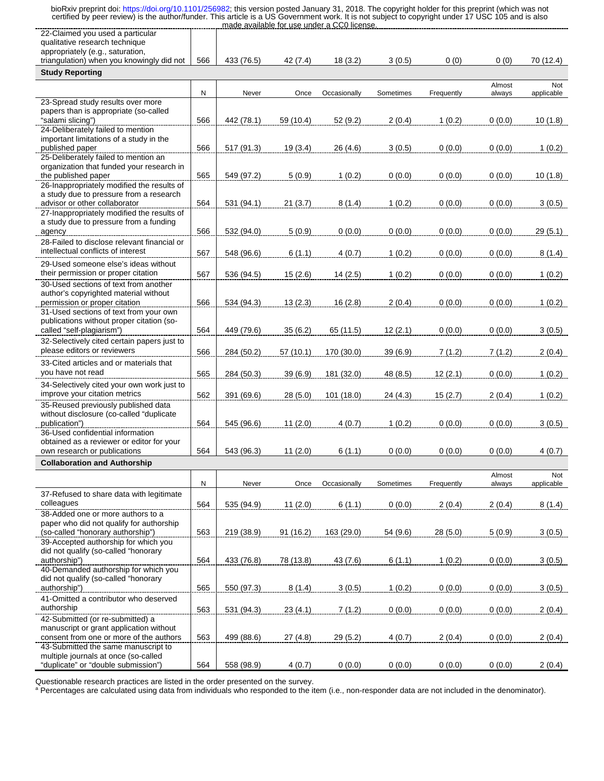| 22-Claimed you used a particular<br>qualitative research technique                   |           |            |           |              |           |            |        |            |
|--------------------------------------------------------------------------------------|-----------|------------|-----------|--------------|-----------|------------|--------|------------|
| appropriately (e.g., saturation,                                                     |           |            |           |              |           |            |        |            |
| triangulation) when you knowingly did not                                            | 566       | 433 (76.5) | 42 (7.4)  | 18(3.2)      | 3(0.5)    | 0(0)       | 0(0)   | 70 (12.4)  |
| <b>Study Reporting</b>                                                               |           |            |           |              |           |            |        |            |
|                                                                                      | N         | Never      | Once      |              |           |            | Almost | Not        |
| 23-Spread study results over more                                                    |           |            |           | Occasionally | Sometimes | Frequently | always | applicable |
| papers than is appropriate (so-called<br>"salami slicing")                           | 566       | 442 (78.1) | 59 (10.4) | 52 (9.2)     | 2(0.4)    | 1(0.2)     | 0(0.0) | 10 (1.8)   |
| 24-Deliberately failed to mention<br>important limitations of a study in the         |           |            |           |              |           |            |        |            |
| published paper<br>25-Deliberately failed to mention an                              | 566       | 517 (91.3) | 19(3.4)   | 26 (4.6)     | 3(0.5)    | 0(0.0)     | 0(0.0) | 1(0.2)     |
| organization that funded your research in<br>the published paper                     | 565       | 549 (97.2) | 5(0.9)    | 1(0.2)       | 0(0.0)    | 0(0.0)     | 0(0.0) | 10(1.8)    |
| 26-Inappropriately modified the results of                                           |           |            |           |              |           |            |        |            |
| a study due to pressure from a research<br>advisor or other collaborator             | 564       | 531 (94.1) | 21(3.7)   | 8(1.4)       | 1(0.2)    | 0(0.0)     | 0(0.0) | 3(0.5)     |
| 27-Inappropriately modified the results of<br>a study due to pressure from a funding |           |            |           |              |           |            |        |            |
| agency                                                                               | 566       | 532 (94.0) | 5(0.9)    | 0(0.0)       | 0(0.0)    | 0(0.0)     | 0(0.0) | 29(5.1)    |
| 28-Failed to disclose relevant financial or<br>intellectual conflicts of interest    |           |            |           |              |           |            |        |            |
| 29-Used someone else's ideas without                                                 | 567       | 548 (96.6) | 6(1.1)    | 4(0.7)       | 1(0.2)    | 0(0.0)     | 0(0.0) | 8(1.4)     |
| their permission or proper citation                                                  | 567       | 536 (94.5) | 15(2.6)   | 14(2.5)      | 1(0.2)    | 0(0.0)     | 0(0.0) | 1(0.2)     |
| 30-Used sections of text from another                                                |           |            |           |              |           |            |        |            |
| author's copyrighted material without<br>permission or proper citation               | 566       | 534 (94.3) | 13(2.3)   | 16(2.8)      | 2(0.4)    | 0(0.0)     | 0(0.0) | 1(0.2)     |
| 31-Used sections of text from your own                                               |           |            |           |              |           |            |        |            |
| publications without proper citation (so-<br>called "self-plagiarism")               | 564       | 449 (79.6) | 35(6.2)   | 65 (11.5)    | 12(2.1)   | 0(0.0)     | 0(0.0) | 3(0.5)     |
| 32-Selectively cited certain papers just to                                          |           |            |           |              |           |            |        |            |
| please editors or reviewers                                                          | 566       | 284 (50.2) | 57 (10.1) | 170 (30.0)   | 39 (6.9)  | 7(1.2)     | 7(1.2) | 2(0.4)     |
| 33-Cited articles and or materials that<br>you have not read                         | 565       | 284 (50.3) | 39 (6.9)  | 181 (32.0)   | 48 (8.5)  | 12(2.1)    | 0(0.0) | 1(0.2)     |
| 34-Selectively cited your own work just to                                           |           |            |           |              |           |            |        |            |
| improve your citation metrics                                                        | 562       | 391 (69.6) | 28(5.0)   | 101 (18.0)   | 24 (4.3)  | 15(2.7)    | 2(0.4) | 1(0.2)     |
| 35-Reused previously published data<br>without disclosure (co-called "duplicate      |           |            |           |              |           |            |        |            |
| publication")                                                                        | 564       | 545 (96.6) | 11(2.0)   | 4(0.7)       | 1(0.2)    | 0(0.0)     | 0(0.0) | 3(0.5)     |
| 36-Used confidential information                                                     |           |            |           |              |           |            |        |            |
| obtained as a reviewer or editor for your<br>own research or publications            | 564       | 543 (96.3) | 11(2.0)   | 6(1.1)       | 0(0.0)    | 0(0.0)     | 0(0.0) | 4(0.7)     |
| <b>Collaboration and Authorship</b>                                                  |           |            |           |              |           |            |        |            |
|                                                                                      |           |            |           |              |           |            | Almost | Not        |
|                                                                                      | ${\sf N}$ | Never      | Once      | Occasionally | Sometimes | Frequently | always | applicable |
| 37-Refused to share data with legitimate<br>colleagues                               | 564       | 535 (94.9) | 11(2.0)   | 6(1.1)       | 0(0.0)    | 2(0.4)     | 2(0.4) | 8(1.4)     |
| 38-Added one or more authors to a<br>paper who did not qualify for authorship        |           |            |           |              |           |            |        |            |
| (so-called "honorary authorship")                                                    | 563       | 219 (38.9) | 91(16.2)  | 163 (29.0)   | 54 (9.6)  | 28(5.0)    | 5(0.9) | 3(0.5)     |
| 39-Accepted authorship for which you<br>did not qualify (so-called "honorary         |           |            |           |              |           |            |        |            |
| authorship")                                                                         | 564       | 433 (76.8) | 78 (13.8) | 43(7.6)      | 6(1.1)    | 1(0.2)     | 0(0.0) | 3(0.5)     |
| 40-Demanded authorship for which you<br>did not qualify (so-called "honorary         |           |            |           |              |           |            |        |            |
| authorship")                                                                         | 565       | 550 (97.3) | 8(1.4)    | 3(0.5)       | 1(0.2)    | 0(0.0)     | 0(0.0) | 3(0.5)     |
| 41-Omitted a contributor who deserved<br>authorship                                  | 563       | 531 (94.3) | 23(4.1)   | 7(1.2)       | 0(0.0)    | 0(0.0)     | 0(0.0) | 2(0.4)     |
| 42-Submitted (or re-submitted) a                                                     |           |            |           |              |           |            |        |            |
| manuscript or grant application without<br>consent from one or more of the authors   | 563       | 499 (88.6) | 27(4.8)   | 29(5.2)      | 4(0.7)    | 2(0.4)     | 0(0.0) | 2(0.4)     |
| 43-Submitted the same manuscript to                                                  |           |            |           |              |           |            |        |            |
| multiple journals at once (so-called                                                 |           |            |           |              |           |            |        |            |
| "duplicate" or "double submission")                                                  | 564       | 558 (98.9) | 4(0.7)    | 0(0.0)       | 0(0.0)    | 0(0.0)     | 0(0.0) | 2(0.4)     |

Questionable research practices are listed in the order presented on the survey.<br>ª Percentages are calculated using data from individuals who responded to the item (i.e., non-responder data are not included in the denomina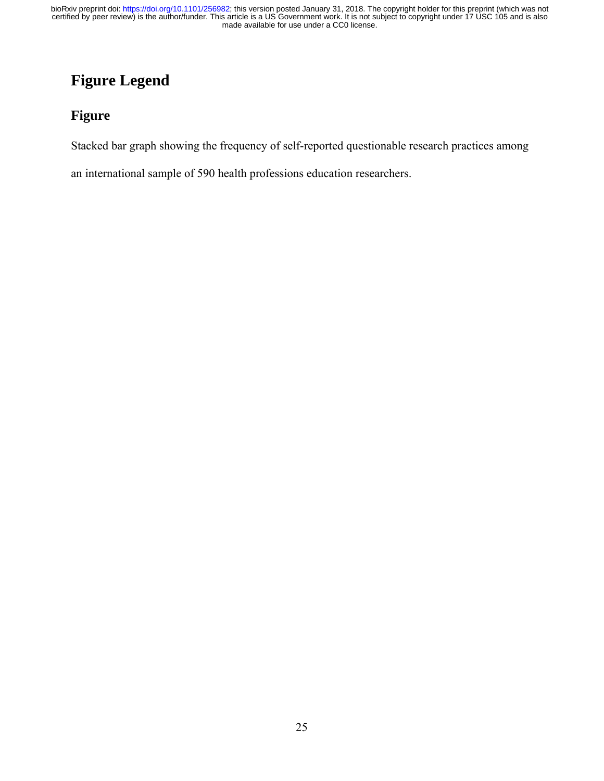# **Figure Legend**

### **Figure**

Stacked bar graph showing the frequency of self-reported questionable research practices among

an international sample of 590 health professions education researchers.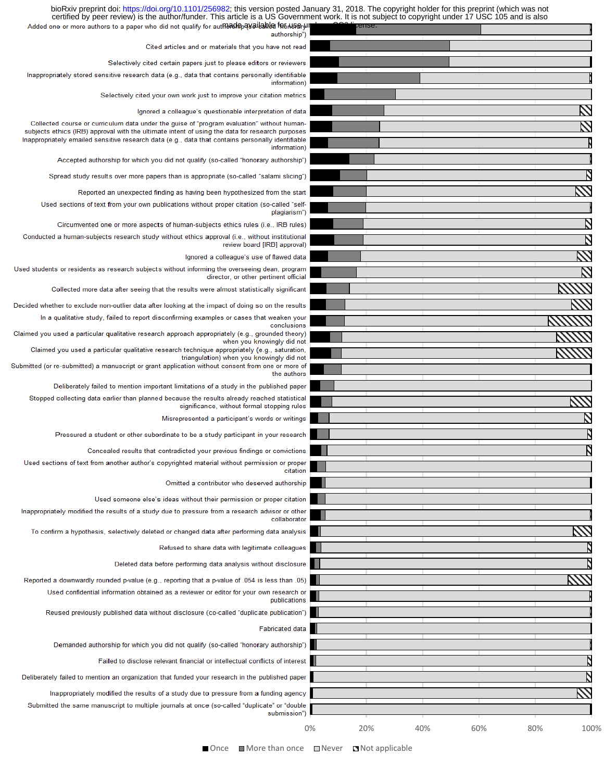| certified by peer review) is the author/funder. This article is a US Government work. It is not subject to copyright under 17 USC 105 and is also<br>Added one or more authors to a paper who did not qualify for autmacked payailable for use with |    | cense. |     |     |             |
|-----------------------------------------------------------------------------------------------------------------------------------------------------------------------------------------------------------------------------------------------------|----|--------|-----|-----|-------------|
| authorship")                                                                                                                                                                                                                                        |    |        |     |     |             |
| Cited articles and or materials that you have not read                                                                                                                                                                                              |    |        |     |     |             |
| Selectively cited certain papers just to please editors or reviewers                                                                                                                                                                                |    |        |     |     |             |
| Inappropriately stored sensitive research data (e.g., data that contains personally identifiable<br>information)                                                                                                                                    |    |        |     |     |             |
| Selectively cited your own work just to improve your citation metrics                                                                                                                                                                               |    |        |     |     |             |
| Ignored a colleague's questionable interpretation of data                                                                                                                                                                                           |    |        |     |     |             |
| Collected course or curriculum data under the quise of "program evaluation" without human-<br>subjects ethics (IRB) approval with the ultimate intent of using the data for research purposes                                                       |    |        |     |     |             |
| Inappropriately emailed sensitive research data (e.g., data that contains personally identifiable<br>information)                                                                                                                                   |    |        |     |     |             |
| Accepted authorship for which you did not qualify (so-called "honorary authorship")                                                                                                                                                                 |    |        |     |     |             |
| Spread study results over more papers than is appropriate (so-called "salami slicing")                                                                                                                                                              |    |        |     |     |             |
| Reported an unexpected finding as having been hypothesized from the start                                                                                                                                                                           |    |        |     |     |             |
| Used sections of text from your own publications without proper citation (so-called "self-                                                                                                                                                          |    |        |     |     |             |
| plagiarism")                                                                                                                                                                                                                                        |    |        |     |     |             |
| Circumvented one or more aspects of human-subjects ethics rules (i.e., IRB rules)                                                                                                                                                                   |    |        |     |     |             |
| Conducted a human-subjects research study without ethics approval (i.e., without institutional<br>review board [IRB] approval)                                                                                                                      |    |        |     |     | Ŋ           |
| Ignored a colleague's use of flawed data                                                                                                                                                                                                            |    |        |     |     |             |
| Used students or residents as research subjects without informing the overseeing dean, program<br>director, or other pertinent official                                                                                                             |    |        |     |     |             |
| Collected more data after seeing that the results were almost statistically significant                                                                                                                                                             |    |        |     |     |             |
| Decided whether to exclude non-outlier data after looking at the impact of doing so on the results                                                                                                                                                  |    |        |     |     |             |
| In a qualitative study, failed to report disconfirming examples or cases that weaken your                                                                                                                                                           |    |        |     |     |             |
| conclusions<br>Claimed you used a particular qualitative research approach appropriately (e.g., grounded theory)                                                                                                                                    |    |        |     |     |             |
| when you knowingly did not<br>Claimed you used a particular qualitative research technique appropriately (e.g., saturation,                                                                                                                         |    |        |     |     |             |
| triangulation) when you knowingly did not                                                                                                                                                                                                           |    |        |     |     |             |
| Submitted (or re-submitted) a manuscript or grant application without consent from one or more of<br>the authors                                                                                                                                    |    |        |     |     |             |
| Deliberately failed to mention important limitations of a study in the published paper                                                                                                                                                              |    |        |     |     |             |
| Stopped collecting data earlier than planned because the results already reached statistical<br>significance, without formal stopping rules                                                                                                         |    |        |     |     |             |
| Misrepresented a participant's words or writings                                                                                                                                                                                                    |    |        |     |     |             |
| Pressured a student or other subordinate to be a study participant in your research                                                                                                                                                                 |    |        |     |     |             |
|                                                                                                                                                                                                                                                     |    |        |     |     |             |
| Concealed results that contradicted your previous findings or convictions<br>Used sections of text from another author's copyrighted material without permission or proper                                                                          |    |        |     |     |             |
| citation                                                                                                                                                                                                                                            |    |        |     |     |             |
| Omitted a contributor who deserved authorship                                                                                                                                                                                                       |    |        |     |     |             |
| Used someone else's ideas without their permission or proper citation                                                                                                                                                                               |    |        |     |     |             |
| Inappropriately modified the results of a study due to pressure from a research advisor or other<br>collaborator                                                                                                                                    |    |        |     |     |             |
| To confirm a hypothesis, selectively deleted or changed data after performing data analysis                                                                                                                                                         |    |        |     |     |             |
| Refused to share data with legitimate colleagues                                                                                                                                                                                                    |    |        |     |     |             |
| Deleted data before performing data analysis without disclosure                                                                                                                                                                                     |    |        |     |     |             |
| Reported a downwardly rounded p-value (e.g., reporting that a p-value of .054 is less than .05)                                                                                                                                                     |    |        |     |     |             |
| Used confidential information obtained as a reviewer or editor for your own research or                                                                                                                                                             |    |        |     |     |             |
| publications                                                                                                                                                                                                                                        |    |        |     |     |             |
| Reused previously published data without disclosure (co-called "duplicate publication")                                                                                                                                                             |    |        |     |     |             |
| <b>Fabricated data</b>                                                                                                                                                                                                                              |    |        |     |     |             |
| Demanded authorship for which you did not qualify (so-called "honorary authorship")                                                                                                                                                                 |    |        |     |     |             |
| Failed to disclose relevant financial or intellectual conflicts of interest                                                                                                                                                                         |    |        |     |     |             |
| Deliberately failed to mention an organization that funded your research in the published paper                                                                                                                                                     |    |        |     |     |             |
| Inappropriately modified the results of a study due to pressure from a funding agency                                                                                                                                                               |    |        |     |     |             |
| Submitted the same manuscript to multiple journals at once (so-called "duplicate" or "double                                                                                                                                                        |    |        |     |     |             |
| submission")                                                                                                                                                                                                                                        |    |        |     |     |             |
|                                                                                                                                                                                                                                                     | 0% | 20%    | 40% | 60% | 80%<br>100% |

bioRxiv preprint doi: [https://doi.org/10.1101/256982;](https://doi.org/10.1101/256982) this version posted January 31, 2018. The copyright holder for this preprint (which was not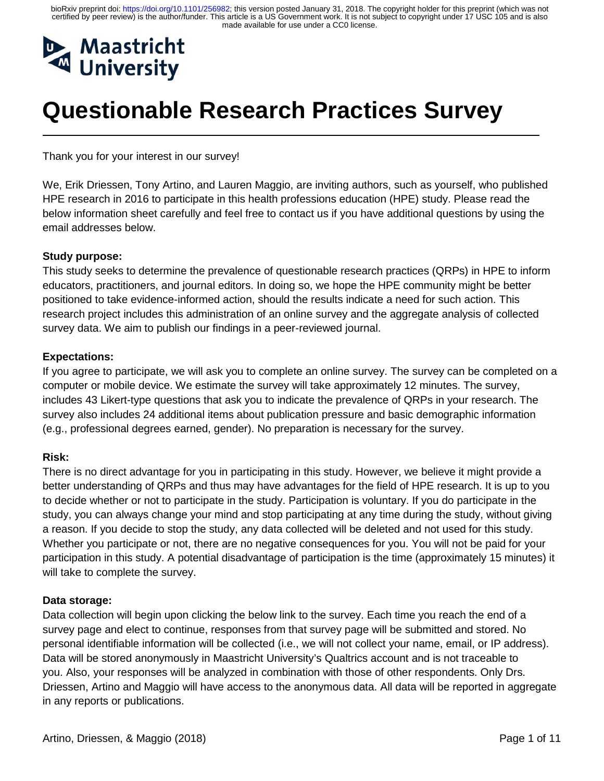

# **Questionable Research Practices Survey**

Thank you for your interest in our survey!

We, Erik Driessen, Tony Artino, and Lauren Maggio, are inviting authors, such as yourself, who published HPE research in 2016 to participate in this health professions education (HPE) study. Please read the below information sheet carefully and feel free to contact us if you have additional questions by using the email addresses below.

#### **Study purpose:**

 $\overline{a}$ 

This study seeks to determine the prevalence of questionable research practices (QRPs) in HPE to inform educators, practitioners, and journal editors. In doing so, we hope the HPE community might be better positioned to take evidence-informed action, should the results indicate a need for such action. This research project includes this administration of an online survey and the aggregate analysis of collected survey data. We aim to publish our findings in a peer-reviewed journal.

#### **Expectations:**

If you agree to participate, we will ask you to complete an online survey. The survey can be completed on a computer or mobile device. We estimate the survey will take approximately 12 minutes. The survey, includes 43 Likert-type questions that ask you to indicate the prevalence of QRPs in your research. The survey also includes 24 additional items about publication pressure and basic demographic information (e.g., professional degrees earned, gender). No preparation is necessary for the survey.

#### **Risk:**

There is no direct advantage for you in participating in this study. However, we believe it might provide a better understanding of QRPs and thus may have advantages for the field of HPE research. It is up to you to decide whether or not to participate in the study. Participation is voluntary. If you do participate in the study, you can always change your mind and stop participating at any time during the study, without giving a reason. If you decide to stop the study, any data collected will be deleted and not used for this study. Whether you participate or not, there are no negative consequences for you. You will not be paid for your participation in this study. A potential disadvantage of participation is the time (approximately 15 minutes) it will take to complete the survey.

#### **Data storage:**

Data collection will begin upon clicking the below link to the survey. Each time you reach the end of a survey page and elect to continue, responses from that survey page will be submitted and stored. No personal identifiable information will be collected (i.e., we will not collect your name, email, or IP address). Data will be stored anonymously in Maastricht University's Qualtrics account and is not traceable to you. Also, your responses will be analyzed in combination with those of other respondents. Only Drs. Driessen, Artino and Maggio will have access to the anonymous data. All data will be reported in aggregate in any reports or publications.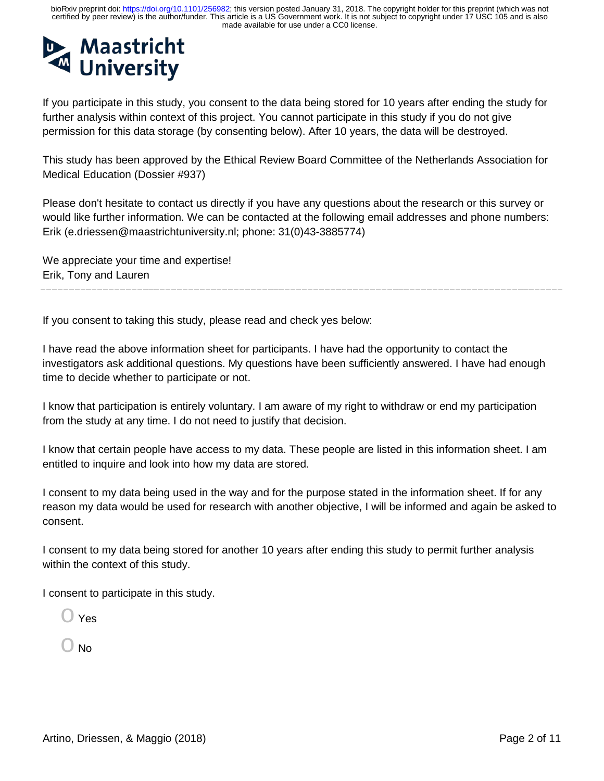

If you participate in this study, you consent to the data being stored for 10 years after ending the study for further analysis within context of this project. You cannot participate in this study if you do not give permission for this data storage (by consenting below). After 10 years, the data will be destroyed.

This study has been approved by the Ethical Review Board Committee of the Netherlands Association for Medical Education (Dossier #937)

Please don't hesitate to contact us directly if you have any questions about the research or this survey or would like further information. We can be contacted at the following email addresses and phone numbers: Erik (e.driessen@maastrichtuniversity.nl; phone: 31(0)43-3885774)

We appreciate your time and expertise! Erik, Tony and Lauren

If you consent to taking this study, please read and check yes below:

I have read the above information sheet for participants. I have had the opportunity to contact the investigators ask additional questions. My questions have been sufficiently answered. I have had enough time to decide whether to participate or not.

I know that participation is entirely voluntary. I am aware of my right to withdraw or end my participation from the study at any time. I do not need to justify that decision.

I know that certain people have access to my data. These people are listed in this information sheet. I am entitled to inquire and look into how my data are stored.

I consent to my data being used in the way and for the purpose stated in the information sheet. If for any reason my data would be used for research with another objective, I will be informed and again be asked to consent.

I consent to my data being stored for another 10 years after ending this study to permit further analysis within the context of this study.

I consent to participate in this study.

 $\bigcirc$  Yes

ີ No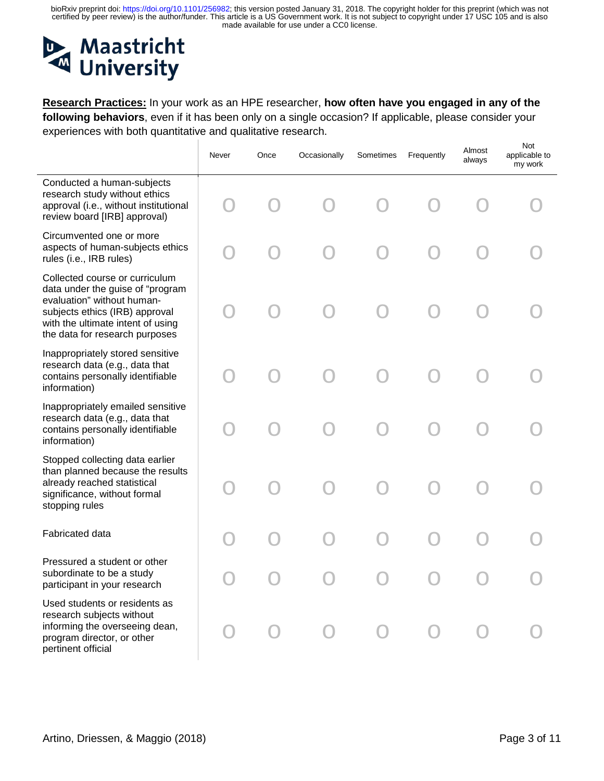#### **Maastricht**  $\mathbf{D}$ **University**  $\mathbf{M}$

**Research Practices:** In your work as an HPE researcher, **how often have you engaged in any of the following behaviors**, even if it has been only on a single occasion? If applicable, please consider your experiences with both quantitative and qualitative research.

|                                                                                                                                                                                                           | Never | Once | Occasionally | Sometimes | Frequently | Almost<br>always | Not<br>applicable to<br>my work |
|-----------------------------------------------------------------------------------------------------------------------------------------------------------------------------------------------------------|-------|------|--------------|-----------|------------|------------------|---------------------------------|
| Conducted a human-subjects<br>research study without ethics<br>approval (i.e., without institutional<br>review board [IRB] approval)                                                                      |       |      |              |           |            |                  |                                 |
| Circumvented one or more<br>aspects of human-subjects ethics<br>rules (i.e., IRB rules)                                                                                                                   |       |      |              |           |            |                  |                                 |
| Collected course or curriculum<br>data under the guise of "program<br>evaluation" without human-<br>subjects ethics (IRB) approval<br>with the ultimate intent of using<br>the data for research purposes |       |      |              |           |            |                  |                                 |
| Inappropriately stored sensitive<br>research data (e.g., data that<br>contains personally identifiable<br>information)                                                                                    |       |      |              |           |            |                  |                                 |
| Inappropriately emailed sensitive<br>research data (e.g., data that<br>contains personally identifiable<br>information)                                                                                   |       |      |              |           |            |                  |                                 |
| Stopped collecting data earlier<br>than planned because the results<br>already reached statistical<br>significance, without formal<br>stopping rules                                                      |       |      |              |           |            |                  |                                 |
| <b>Fabricated data</b>                                                                                                                                                                                    |       |      |              |           |            |                  |                                 |
| Pressured a student or other<br>subordinate to be a study<br>participant in your research                                                                                                                 |       |      |              |           |            |                  |                                 |
| Used students or residents as<br>research subjects without<br>informing the overseeing dean,<br>program director, or other<br>pertinent official                                                          |       |      |              |           |            |                  |                                 |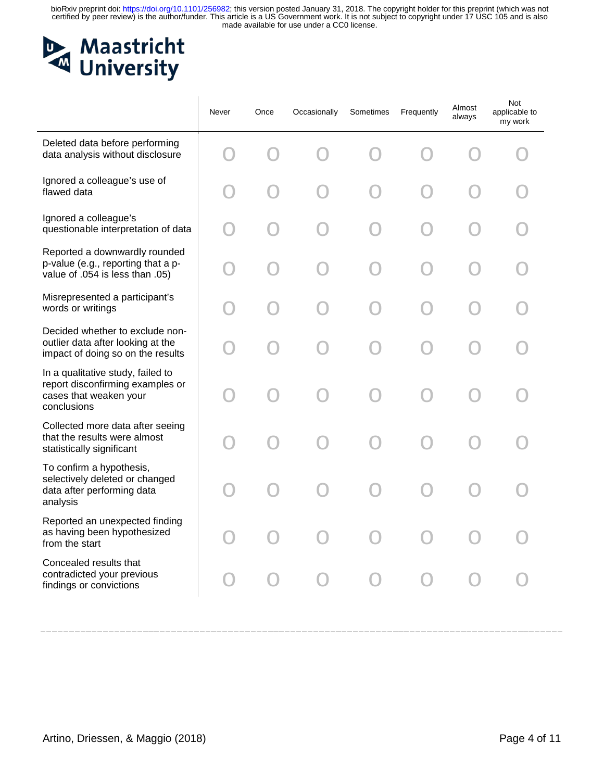# Maastricht<br>University

|                                                                                                                | Never | Once | Occasionally | Sometimes | Frequently | Almost<br>always | Not<br>applicable to<br>my work |
|----------------------------------------------------------------------------------------------------------------|-------|------|--------------|-----------|------------|------------------|---------------------------------|
| Deleted data before performing<br>data analysis without disclosure                                             |       |      |              |           |            |                  |                                 |
| Ignored a colleague's use of<br>flawed data                                                                    |       |      |              |           |            |                  |                                 |
| Ignored a colleague's<br>questionable interpretation of data                                                   |       |      |              |           |            |                  |                                 |
| Reported a downwardly rounded<br>p-value (e.g., reporting that a p-<br>value of .054 is less than .05)         |       |      |              |           |            |                  |                                 |
| Misrepresented a participant's<br>words or writings                                                            |       |      |              |           |            |                  |                                 |
| Decided whether to exclude non-<br>outlier data after looking at the<br>impact of doing so on the results      |       |      |              |           |            |                  |                                 |
| In a qualitative study, failed to<br>report disconfirming examples or<br>cases that weaken your<br>conclusions |       |      |              |           |            |                  |                                 |
| Collected more data after seeing<br>that the results were almost<br>statistically significant                  |       |      |              |           |            |                  |                                 |
| To confirm a hypothesis,<br>selectively deleted or changed<br>data after performing data<br>analysis           |       |      |              |           |            |                  |                                 |
| Reported an unexpected finding<br>as having been hypothesized<br>from the start                                |       |      |              |           |            |                  |                                 |
| Concealed results that<br>contradicted your previous<br>findings or convictions                                |       |      |              |           |            |                  |                                 |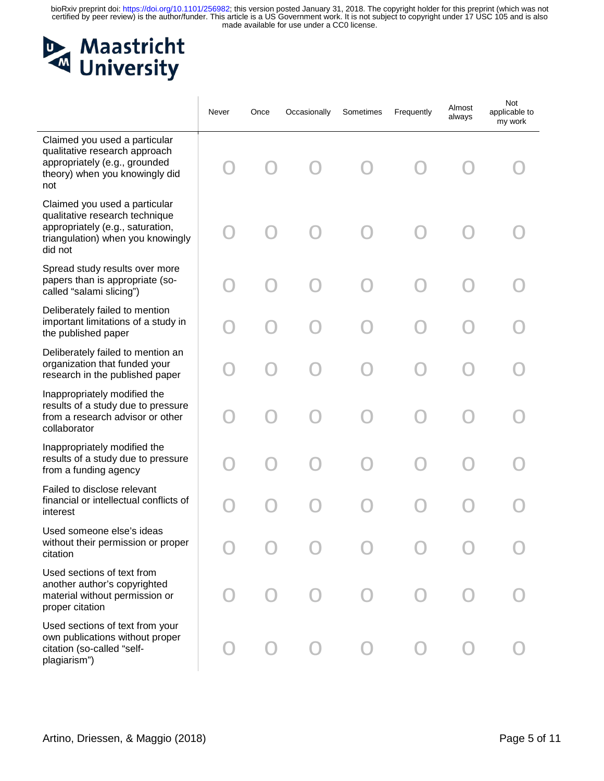

|                                                                                                                                                     | Never | Once | Occasionally | Sometimes | Frequently | Almost<br>always | Not<br>applicable to<br>my work |
|-----------------------------------------------------------------------------------------------------------------------------------------------------|-------|------|--------------|-----------|------------|------------------|---------------------------------|
| Claimed you used a particular<br>qualitative research approach<br>appropriately (e.g., grounded<br>theory) when you knowingly did<br>not            |       |      |              |           |            |                  |                                 |
| Claimed you used a particular<br>qualitative research technique<br>appropriately (e.g., saturation,<br>triangulation) when you knowingly<br>did not |       |      |              |           |            |                  |                                 |
| Spread study results over more<br>papers than is appropriate (so-<br>called "salami slicing")                                                       |       |      |              |           |            |                  |                                 |
| Deliberately failed to mention<br>important limitations of a study in<br>the published paper                                                        |       |      |              |           |            |                  |                                 |
| Deliberately failed to mention an<br>organization that funded your<br>research in the published paper                                               |       |      |              |           |            |                  |                                 |
| Inappropriately modified the<br>results of a study due to pressure<br>from a research advisor or other<br>collaborator                              |       |      |              |           |            |                  |                                 |
| Inappropriately modified the<br>results of a study due to pressure<br>from a funding agency                                                         |       |      |              |           |            |                  |                                 |
| Failed to disclose relevant<br>financial or intellectual conflicts of<br>interest                                                                   |       |      |              |           |            |                  |                                 |
| Used someone else's ideas<br>without their permission or proper<br>citation                                                                         |       |      |              |           |            |                  |                                 |
| Used sections of text from<br>another author's copyrighted<br>material without permission or<br>proper citation                                     |       |      |              |           |            |                  |                                 |
| Used sections of text from your<br>own publications without proper<br>citation (so-called "self-<br>plagiarism")                                    |       |      |              |           |            |                  |                                 |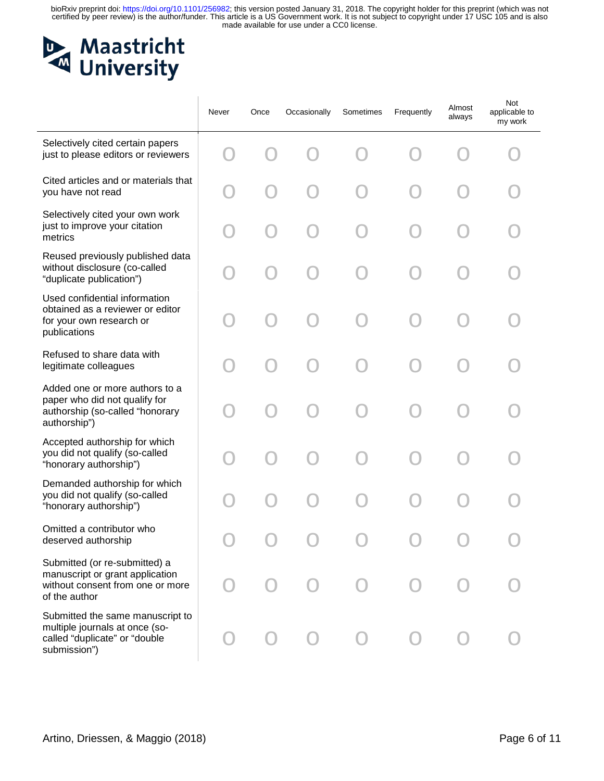# Maastricht<br>
University

|                                                                                                                       | Never | Once | Occasionally | Sometimes | Frequently | Almost<br>always | Not<br>applicable to<br>my work |
|-----------------------------------------------------------------------------------------------------------------------|-------|------|--------------|-----------|------------|------------------|---------------------------------|
| Selectively cited certain papers<br>just to please editors or reviewers                                               |       |      |              |           |            |                  |                                 |
| Cited articles and or materials that<br>you have not read                                                             |       |      |              |           |            |                  |                                 |
| Selectively cited your own work<br>just to improve your citation<br>metrics                                           |       |      |              |           |            |                  |                                 |
| Reused previously published data<br>without disclosure (co-called<br>"duplicate publication")                         |       |      |              |           |            |                  |                                 |
| Used confidential information<br>obtained as a reviewer or editor<br>for your own research or<br>publications         |       |      |              |           |            |                  |                                 |
| Refused to share data with<br>legitimate colleagues                                                                   |       |      |              |           |            |                  |                                 |
| Added one or more authors to a<br>paper who did not qualify for<br>authorship (so-called "honorary<br>authorship")    |       |      |              |           |            |                  |                                 |
| Accepted authorship for which<br>you did not qualify (so-called<br>"honorary authorship")                             |       |      |              |           |            |                  |                                 |
| Demanded authorship for which<br>you did not qualify (so-called<br>"honorary authorship")                             |       |      |              |           |            |                  |                                 |
| Omitted a contributor who<br>deserved authorship                                                                      |       |      |              |           |            |                  |                                 |
| Submitted (or re-submitted) a<br>manuscript or grant application<br>without consent from one or more<br>of the author |       |      |              |           |            |                  |                                 |
| Submitted the same manuscript to<br>multiple journals at once (so-<br>called "duplicate" or "double<br>submission")   |       |      |              |           |            |                  |                                 |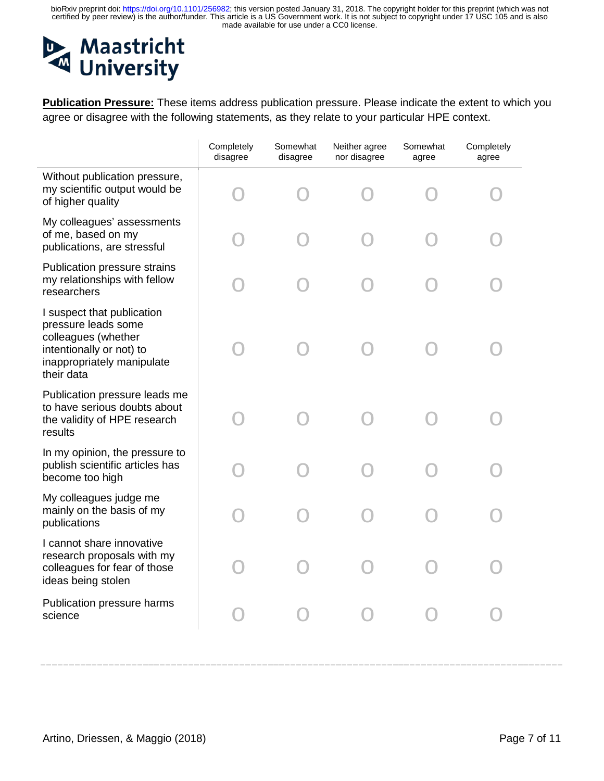# Maastricht<br>
University

**Publication Pressure:** These items address publication pressure. Please indicate the extent to which you agree or disagree with the following statements, as they relate to your particular HPE context.

|                                                                                                                                                  | Completely<br>disagree | Somewhat<br>disagree | Neither agree<br>nor disagree | Somewhat<br>agree | Completely<br>agree |
|--------------------------------------------------------------------------------------------------------------------------------------------------|------------------------|----------------------|-------------------------------|-------------------|---------------------|
| Without publication pressure,<br>my scientific output would be<br>of higher quality                                                              |                        |                      |                               |                   |                     |
| My colleagues' assessments<br>of me, based on my<br>publications, are stressful                                                                  |                        |                      |                               |                   |                     |
| Publication pressure strains<br>my relationships with fellow<br>researchers                                                                      |                        |                      |                               |                   |                     |
| I suspect that publication<br>pressure leads some<br>colleagues (whether<br>intentionally or not) to<br>inappropriately manipulate<br>their data |                        |                      |                               |                   |                     |
| Publication pressure leads me<br>to have serious doubts about<br>the validity of HPE research<br>results                                         |                        |                      |                               |                   |                     |
| In my opinion, the pressure to<br>publish scientific articles has<br>become too high                                                             |                        |                      |                               |                   |                     |
| My colleagues judge me<br>mainly on the basis of my<br>publications                                                                              |                        |                      |                               |                   |                     |
| I cannot share innovative<br>research proposals with my<br>colleagues for fear of those<br>ideas being stolen                                    |                        |                      |                               |                   |                     |
| Publication pressure harms<br>science                                                                                                            |                        |                      |                               |                   |                     |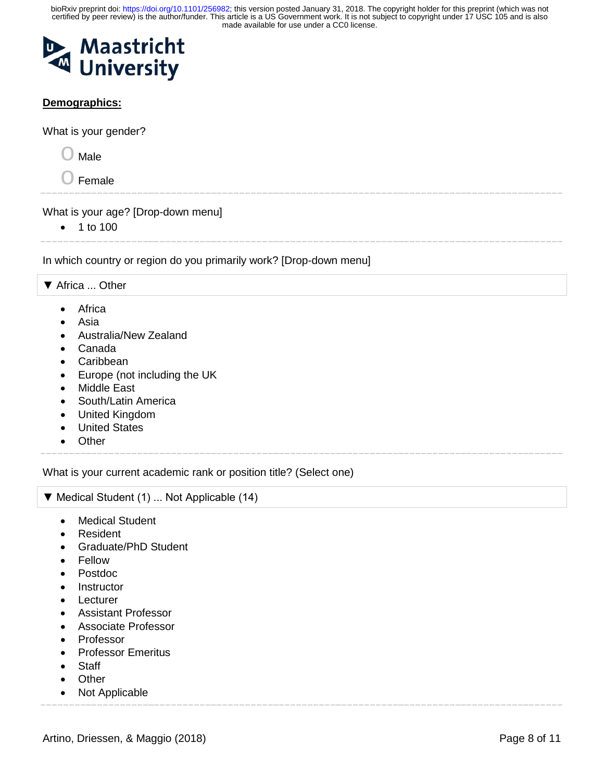

#### **Demographics:**

What is your gender?

 $\bigcirc$  Male

 $\bigcirc$  Female

What is your age? [Drop-down menu]

• 1 to 100

In which country or region do you primarily work? [Drop-down menu]

▼ Africa ... Other

- Africa
- Asia
- Australia/New Zealand
- Canada
- Caribbean
- Europe (not including the UK
- Middle East
- South/Latin America
- United Kingdom
- United States
- Other

What is your current academic rank or position title? (Select one)

```
▼ Medical Student (1) ... Not Applicable (14)
```
- Medical Student
- Resident
- Graduate/PhD Student
- Fellow
- Postdoc
- Instructor
- Lecturer
- Assistant Professor
- Associate Professor
- Professor
- Professor Emeritus
- Staff
- Other
- Not Applicable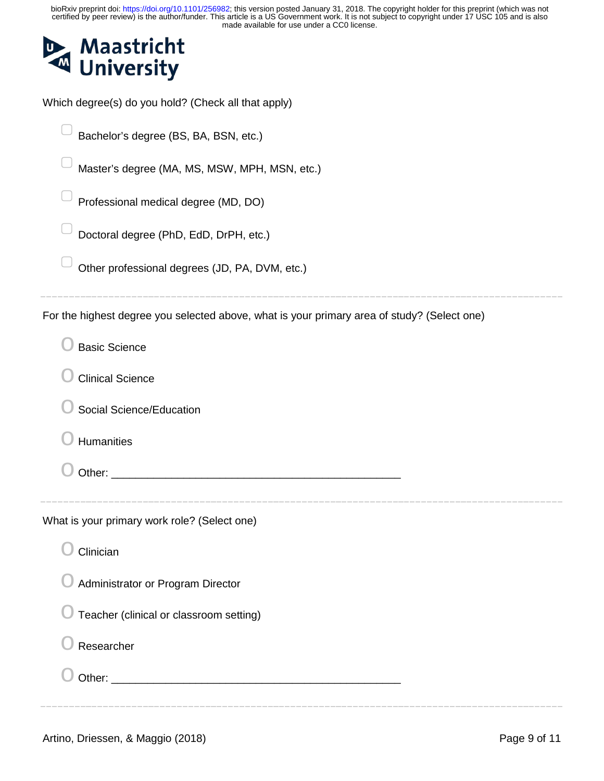

Which degree(s) do you hold? (Check all that apply)

Bachelor's degree (BS, BA, BSN, etc.)

Master's degree (MA, MS, MSW, MPH, MSN, etc.)

▢ Professional medical degree (MD, DO)

▢ Doctoral degree (PhD, EdD, DrPH, etc.)

Other professional degrees (JD, PA, DVM, etc.)

For the highest degree you selected above, what is your primary area of study? (Select one)

| <b>Basic Science</b>                                                                                                                                                                                                                                                                                                                                                                     |  |
|------------------------------------------------------------------------------------------------------------------------------------------------------------------------------------------------------------------------------------------------------------------------------------------------------------------------------------------------------------------------------------------|--|
| <b>Clinical Science</b>                                                                                                                                                                                                                                                                                                                                                                  |  |
| Social Science/Education                                                                                                                                                                                                                                                                                                                                                                 |  |
| <b>Humanities</b>                                                                                                                                                                                                                                                                                                                                                                        |  |
|                                                                                                                                                                                                                                                                                                                                                                                          |  |
| What is your primary work role? (Select one)<br>Clinician<br>Administrator or Program Director<br>Teacher (clinical or classroom setting)<br>Researcher<br>Other: University of the Community of the Community of the Community of the Community of the Community of the Community of the Community of the Community of the Community of the Community of the Community of the Community |  |
|                                                                                                                                                                                                                                                                                                                                                                                          |  |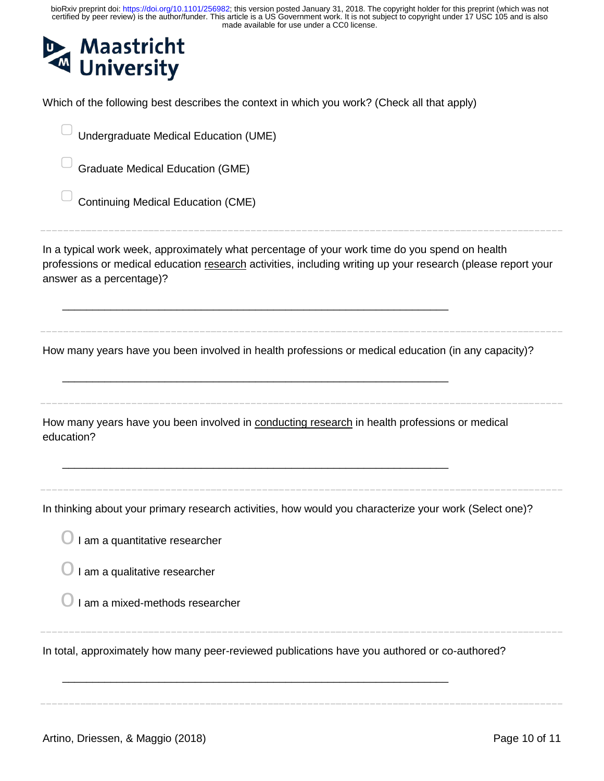| bioRxiv preprint doi: https://doi.org/10.1101/256982; this version posted January 31, 2018. The copyright holder for this preprint (which was not certified by peer review) is the author/funder. This article is a US Governm<br>made available for use under a CC0 license. |
|-------------------------------------------------------------------------------------------------------------------------------------------------------------------------------------------------------------------------------------------------------------------------------|
| <b>Maastricht</b><br><b>University</b>                                                                                                                                                                                                                                        |
| Which of the following best describes the context in which you work? (Check all that apply)                                                                                                                                                                                   |
| Undergraduate Medical Education (UME)                                                                                                                                                                                                                                         |
| <b>Graduate Medical Education (GME)</b>                                                                                                                                                                                                                                       |
| <b>Continuing Medical Education (CME)</b>                                                                                                                                                                                                                                     |
| In a typical work week, approximately what percentage of your work time do you spend on health<br>professions or medical education research activities, including writing up your research (please report your<br>answer as a percentage)?                                    |
| How many years have you been involved in health professions or medical education (in any capacity)?                                                                                                                                                                           |
| How many years have you been involved in conducting research in health professions or medical<br>education?                                                                                                                                                                   |
| In thinking about your primary research activities, how would you characterize your work (Select one)?<br>I am a quantitative researcher                                                                                                                                      |
| I am a qualitative researcher                                                                                                                                                                                                                                                 |
| I am a mixed-methods researcher                                                                                                                                                                                                                                               |
| In total, approximately how many peer-reviewed publications have you authored or co-authored?                                                                                                                                                                                 |
|                                                                                                                                                                                                                                                                               |